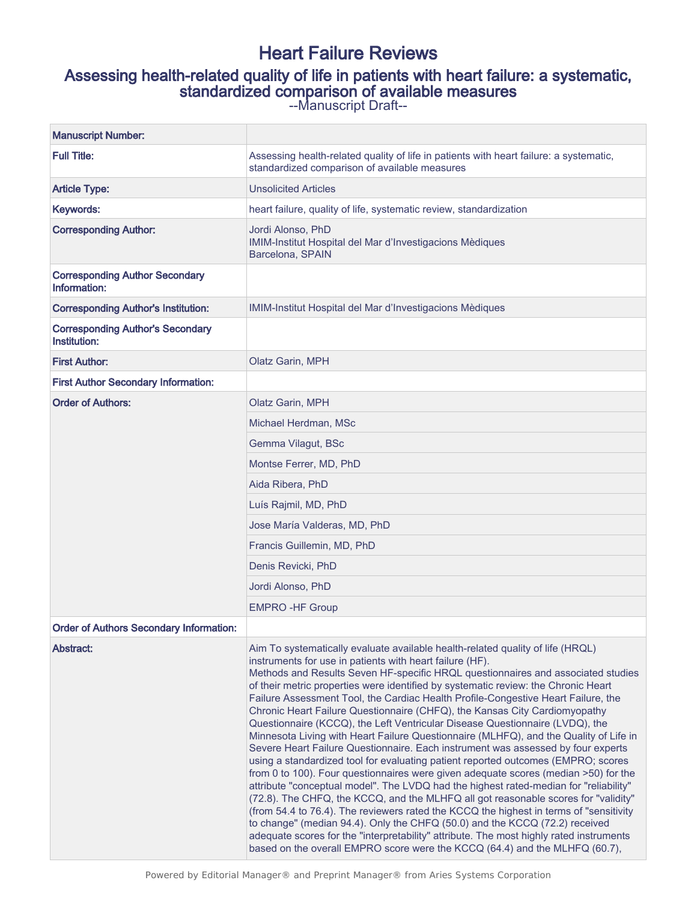# Heart Failure Reviews

# Assessing health-related quality of life in patients with heart failure: a systematic, standardized comparison of available measures

--Manuscript Draft--

| <b>Manuscript Number:</b>                               |                                                                                                                                                                                                                                                                                                                                                                                                                                                                                                                                                                                                                                                                                                                                                                                                                                                                                                                                                                                                                                                                                                                                                                                                                                                                                                                                                                                                                                                                    |
|---------------------------------------------------------|--------------------------------------------------------------------------------------------------------------------------------------------------------------------------------------------------------------------------------------------------------------------------------------------------------------------------------------------------------------------------------------------------------------------------------------------------------------------------------------------------------------------------------------------------------------------------------------------------------------------------------------------------------------------------------------------------------------------------------------------------------------------------------------------------------------------------------------------------------------------------------------------------------------------------------------------------------------------------------------------------------------------------------------------------------------------------------------------------------------------------------------------------------------------------------------------------------------------------------------------------------------------------------------------------------------------------------------------------------------------------------------------------------------------------------------------------------------------|
| <b>Full Title:</b>                                      | Assessing health-related quality of life in patients with heart failure: a systematic,<br>standardized comparison of available measures                                                                                                                                                                                                                                                                                                                                                                                                                                                                                                                                                                                                                                                                                                                                                                                                                                                                                                                                                                                                                                                                                                                                                                                                                                                                                                                            |
| <b>Article Type:</b>                                    | <b>Unsolicited Articles</b>                                                                                                                                                                                                                                                                                                                                                                                                                                                                                                                                                                                                                                                                                                                                                                                                                                                                                                                                                                                                                                                                                                                                                                                                                                                                                                                                                                                                                                        |
| Keywords:                                               | heart failure, quality of life, systematic review, standardization                                                                                                                                                                                                                                                                                                                                                                                                                                                                                                                                                                                                                                                                                                                                                                                                                                                                                                                                                                                                                                                                                                                                                                                                                                                                                                                                                                                                 |
| <b>Corresponding Author:</b>                            | Jordi Alonso, PhD<br>IMIM-Institut Hospital del Mar d'Investigacions Mèdiques<br>Barcelona, SPAIN                                                                                                                                                                                                                                                                                                                                                                                                                                                                                                                                                                                                                                                                                                                                                                                                                                                                                                                                                                                                                                                                                                                                                                                                                                                                                                                                                                  |
| <b>Corresponding Author Secondary</b><br>Information:   |                                                                                                                                                                                                                                                                                                                                                                                                                                                                                                                                                                                                                                                                                                                                                                                                                                                                                                                                                                                                                                                                                                                                                                                                                                                                                                                                                                                                                                                                    |
| <b>Corresponding Author's Institution:</b>              | IMIM-Institut Hospital del Mar d'Investigacions Mèdiques                                                                                                                                                                                                                                                                                                                                                                                                                                                                                                                                                                                                                                                                                                                                                                                                                                                                                                                                                                                                                                                                                                                                                                                                                                                                                                                                                                                                           |
| <b>Corresponding Author's Secondary</b><br>Institution: |                                                                                                                                                                                                                                                                                                                                                                                                                                                                                                                                                                                                                                                                                                                                                                                                                                                                                                                                                                                                                                                                                                                                                                                                                                                                                                                                                                                                                                                                    |
| <b>First Author:</b>                                    | Olatz Garin, MPH                                                                                                                                                                                                                                                                                                                                                                                                                                                                                                                                                                                                                                                                                                                                                                                                                                                                                                                                                                                                                                                                                                                                                                                                                                                                                                                                                                                                                                                   |
| <b>First Author Secondary Information:</b>              |                                                                                                                                                                                                                                                                                                                                                                                                                                                                                                                                                                                                                                                                                                                                                                                                                                                                                                                                                                                                                                                                                                                                                                                                                                                                                                                                                                                                                                                                    |
| <b>Order of Authors:</b>                                | Olatz Garin, MPH                                                                                                                                                                                                                                                                                                                                                                                                                                                                                                                                                                                                                                                                                                                                                                                                                                                                                                                                                                                                                                                                                                                                                                                                                                                                                                                                                                                                                                                   |
|                                                         | Michael Herdman, MSc                                                                                                                                                                                                                                                                                                                                                                                                                                                                                                                                                                                                                                                                                                                                                                                                                                                                                                                                                                                                                                                                                                                                                                                                                                                                                                                                                                                                                                               |
|                                                         | Gemma Vilagut, BSc                                                                                                                                                                                                                                                                                                                                                                                                                                                                                                                                                                                                                                                                                                                                                                                                                                                                                                                                                                                                                                                                                                                                                                                                                                                                                                                                                                                                                                                 |
|                                                         | Montse Ferrer, MD, PhD                                                                                                                                                                                                                                                                                                                                                                                                                                                                                                                                                                                                                                                                                                                                                                                                                                                                                                                                                                                                                                                                                                                                                                                                                                                                                                                                                                                                                                             |
|                                                         | Aida Ribera, PhD                                                                                                                                                                                                                                                                                                                                                                                                                                                                                                                                                                                                                                                                                                                                                                                                                                                                                                                                                                                                                                                                                                                                                                                                                                                                                                                                                                                                                                                   |
|                                                         | Luís Rajmil, MD, PhD                                                                                                                                                                                                                                                                                                                                                                                                                                                                                                                                                                                                                                                                                                                                                                                                                                                                                                                                                                                                                                                                                                                                                                                                                                                                                                                                                                                                                                               |
|                                                         | Jose María Valderas, MD, PhD                                                                                                                                                                                                                                                                                                                                                                                                                                                                                                                                                                                                                                                                                                                                                                                                                                                                                                                                                                                                                                                                                                                                                                                                                                                                                                                                                                                                                                       |
|                                                         | Francis Guillemin, MD, PhD                                                                                                                                                                                                                                                                                                                                                                                                                                                                                                                                                                                                                                                                                                                                                                                                                                                                                                                                                                                                                                                                                                                                                                                                                                                                                                                                                                                                                                         |
|                                                         | Denis Revicki, PhD                                                                                                                                                                                                                                                                                                                                                                                                                                                                                                                                                                                                                                                                                                                                                                                                                                                                                                                                                                                                                                                                                                                                                                                                                                                                                                                                                                                                                                                 |
|                                                         | Jordi Alonso, PhD                                                                                                                                                                                                                                                                                                                                                                                                                                                                                                                                                                                                                                                                                                                                                                                                                                                                                                                                                                                                                                                                                                                                                                                                                                                                                                                                                                                                                                                  |
|                                                         | <b>EMPRO-HF Group</b>                                                                                                                                                                                                                                                                                                                                                                                                                                                                                                                                                                                                                                                                                                                                                                                                                                                                                                                                                                                                                                                                                                                                                                                                                                                                                                                                                                                                                                              |
| <b>Order of Authors Secondary Information:</b>          |                                                                                                                                                                                                                                                                                                                                                                                                                                                                                                                                                                                                                                                                                                                                                                                                                                                                                                                                                                                                                                                                                                                                                                                                                                                                                                                                                                                                                                                                    |
| Abstract:                                               | Aim To systematically evaluate available health-related quality of life (HRQL)<br>instruments for use in patients with heart failure (HF).<br>Methods and Results Seven HF-specific HRQL questionnaires and associated studies<br>of their metric properties were identified by systematic review: the Chronic Heart<br>Failure Assessment Tool, the Cardiac Health Profile-Congestive Heart Failure, the<br>Chronic Heart Failure Questionnaire (CHFQ), the Kansas City Cardiomyopathy<br>Questionnaire (KCCQ), the Left Ventricular Disease Questionnaire (LVDQ), the<br>Minnesota Living with Heart Failure Questionnaire (MLHFQ), and the Quality of Life in<br>Severe Heart Failure Questionnaire. Each instrument was assessed by four experts<br>using a standardized tool for evaluating patient reported outcomes (EMPRO; scores<br>from 0 to 100). Four questionnaires were given adequate scores (median >50) for the<br>attribute "conceptual model". The LVDQ had the highest rated-median for "reliability"<br>(72.8). The CHFQ, the KCCQ, and the MLHFQ all got reasonable scores for "validity"<br>(from 54.4 to 76.4). The reviewers rated the KCCQ the highest in terms of "sensitivity<br>to change" (median 94.4). Only the CHFQ (50.0) and the KCCQ (72.2) received<br>adequate scores for the "interpretability" attribute. The most highly rated instruments<br>based on the overall EMPRO score were the KCCQ (64.4) and the MLHFQ (60.7), |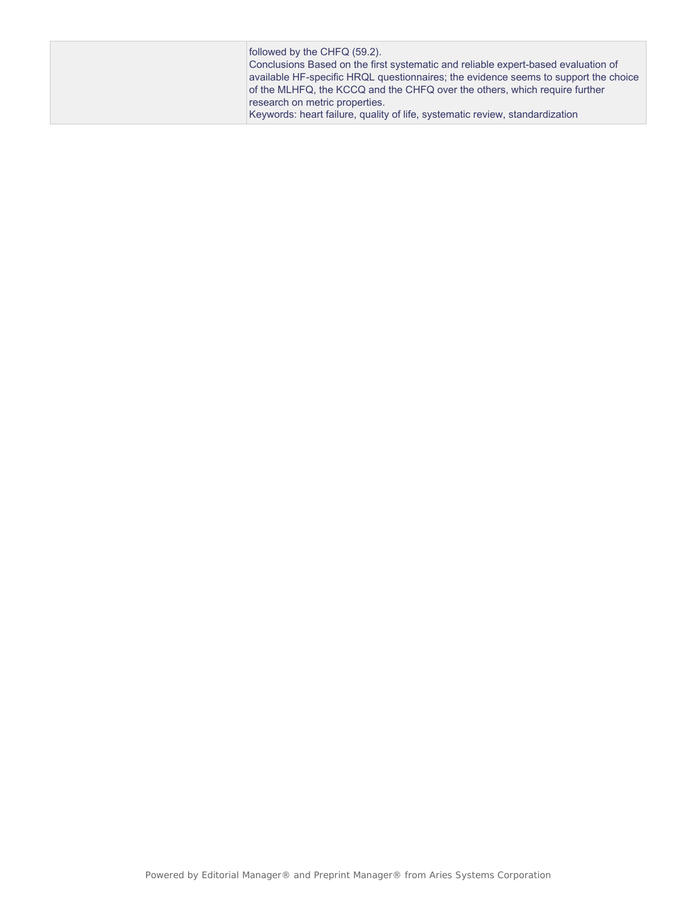| followed by the CHFQ (59.2).<br>Conclusions Based on the first systematic and reliable expert-based evaluation of<br>available HF-specific HRQL questionnaires; the evidence seems to support the choice<br>of the MLHFQ, the KCCQ and the CHFQ over the others, which require further |
|----------------------------------------------------------------------------------------------------------------------------------------------------------------------------------------------------------------------------------------------------------------------------------------|
| research on metric properties.                                                                                                                                                                                                                                                         |
| Keywords: heart failure, quality of life, systematic review, standardization                                                                                                                                                                                                           |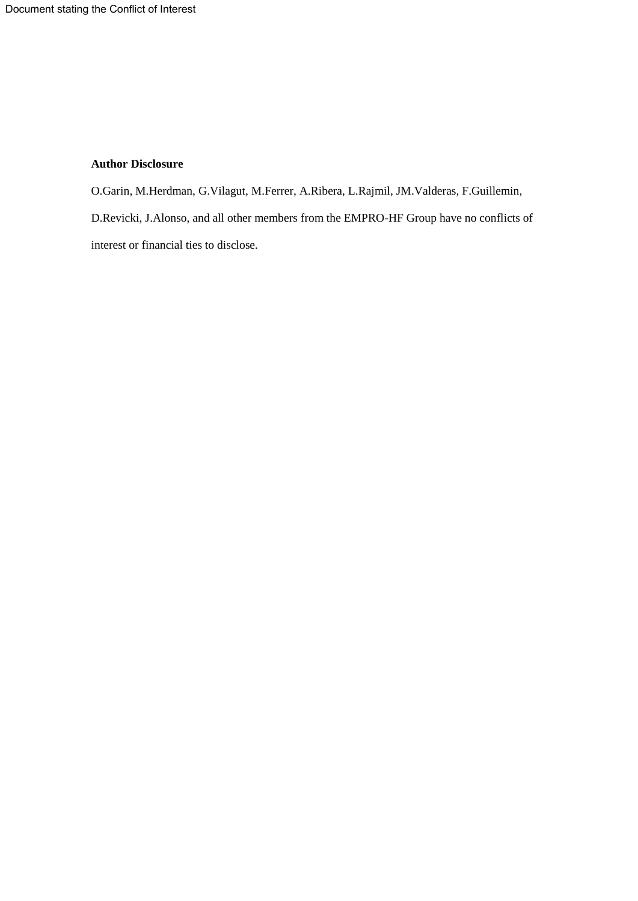## **Author Disclosure**

O.Garin, M.Herdman, G.Vilagut, M.Ferrer, A.Ribera, L.Rajmil, JM.Valderas, F.Guillemin, D.Revicki, J.Alonso, and all other members from the EMPRO-HF Group have no conflicts of interest or financial ties to disclose.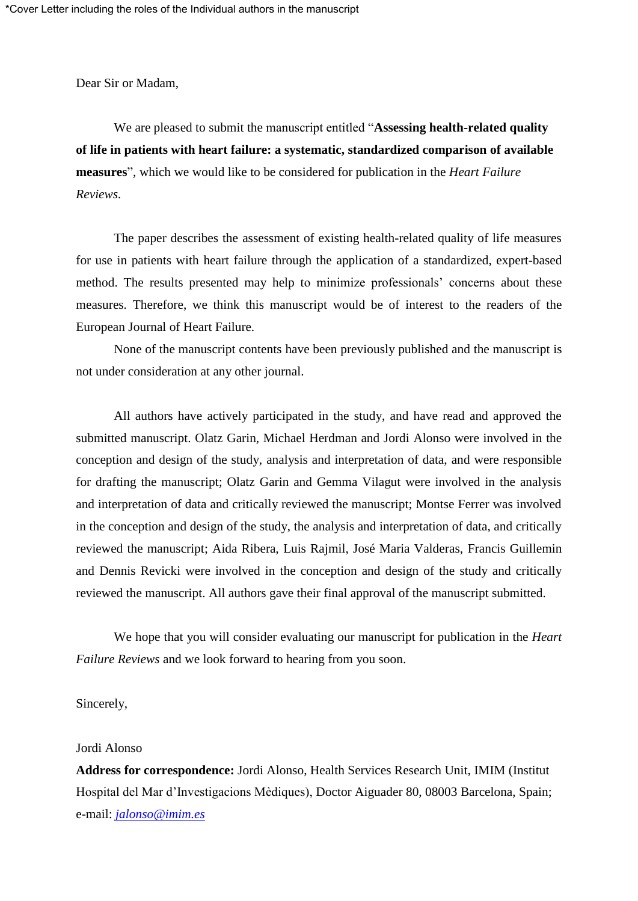Dear Sir or Madam,

We are pleased to submit the manuscript entitled "**Assessing health-related quality of life in patients with heart failure: a systematic, standardized comparison of available measures**", which we would like to be considered for publication in the *Heart Failure Reviews.*

The paper describes the assessment of existing health-related quality of life measures for use in patients with heart failure through the application of a standardized, expert-based method. The results presented may help to minimize professionals' concerns about these measures. Therefore, we think this manuscript would be of interest to the readers of the European Journal of Heart Failure*.*

None of the manuscript contents have been previously published and the manuscript is not under consideration at any other journal.

All authors have actively participated in the study, and have read and approved the submitted manuscript. Olatz Garin, Michael Herdman and Jordi Alonso were involved in the conception and design of the study, analysis and interpretation of data, and were responsible for drafting the manuscript; Olatz Garin and Gemma Vilagut were involved in the analysis and interpretation of data and critically reviewed the manuscript; Montse Ferrer was involved in the conception and design of the study, the analysis and interpretation of data, and critically reviewed the manuscript; Aida Ribera, Luis Rajmil, José Maria Valderas, Francis Guillemin and Dennis Revicki were involved in the conception and design of the study and critically reviewed the manuscript. All authors gave their final approval of the manuscript submitted.

We hope that you will consider evaluating our manuscript for publication in the *Heart Failure Reviews* and we look forward to hearing from you soon.

Sincerely,

## Jordi Alonso

**Address for correspondence:** Jordi Alonso, Health Services Research Unit, IMIM (Institut Hospital del Mar d'Investigacions Mèdiques), Doctor Aiguader 80, 08003 Barcelona, Spain; e-mail: *[jalonso@imim.es](mailto:jalonso@imim.es)*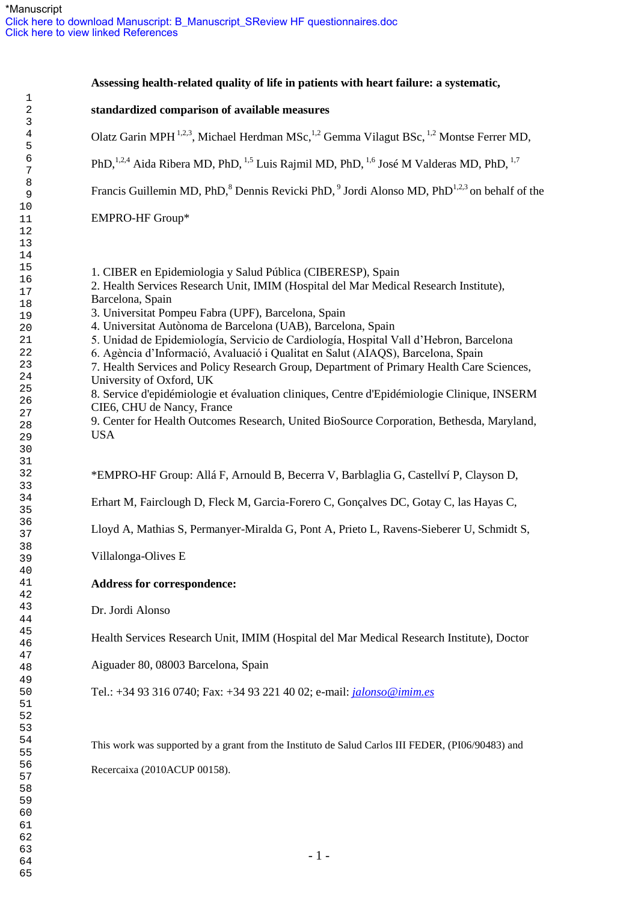| Assessing health-related quality of life in patients with heart failure: a systematic,                                                                                                                                                                                                                                                                                                                                                                                                                                                                                                                                                                                                                                                                                                                                                         |  |
|------------------------------------------------------------------------------------------------------------------------------------------------------------------------------------------------------------------------------------------------------------------------------------------------------------------------------------------------------------------------------------------------------------------------------------------------------------------------------------------------------------------------------------------------------------------------------------------------------------------------------------------------------------------------------------------------------------------------------------------------------------------------------------------------------------------------------------------------|--|
| standardized comparison of available measures                                                                                                                                                                                                                                                                                                                                                                                                                                                                                                                                                                                                                                                                                                                                                                                                  |  |
| Olatz Garin MPH <sup>1,2,3</sup> , Michael Herdman MSc, <sup>1,2</sup> Gemma Vilagut BSc, <sup>1,2</sup> Montse Ferrer MD,                                                                                                                                                                                                                                                                                                                                                                                                                                                                                                                                                                                                                                                                                                                     |  |
| PhD, <sup>1,2,4</sup> Aida Ribera MD, PhD, <sup>1,5</sup> Luis Rajmil MD, PhD, <sup>1,6</sup> José M Valderas MD, PhD, <sup>1,7</sup>                                                                                                                                                                                                                                                                                                                                                                                                                                                                                                                                                                                                                                                                                                          |  |
| Francis Guillemin MD, PhD, <sup>8</sup> Dennis Revicki PhD, <sup>9</sup> Jordi Alonso MD, PhD <sup>1,2,3</sup> on behalf of the                                                                                                                                                                                                                                                                                                                                                                                                                                                                                                                                                                                                                                                                                                                |  |
| EMPRO-HF Group*                                                                                                                                                                                                                                                                                                                                                                                                                                                                                                                                                                                                                                                                                                                                                                                                                                |  |
| 1. CIBER en Epidemiologia y Salud Pública (CIBERESP), Spain<br>2. Health Services Research Unit, IMIM (Hospital del Mar Medical Research Institute),<br>Barcelona, Spain<br>3. Universitat Pompeu Fabra (UPF), Barcelona, Spain<br>4. Universitat Autònoma de Barcelona (UAB), Barcelona, Spain<br>5. Unidad de Epidemiología, Servicio de Cardiología, Hospital Vall d'Hebron, Barcelona<br>6. Agència d'Informació, Avaluació i Qualitat en Salut (AIAQS), Barcelona, Spain<br>7. Health Services and Policy Research Group, Department of Primary Health Care Sciences,<br>University of Oxford, UK<br>8. Service d'epidémiologie et évaluation cliniques, Centre d'Epidémiologie Clinique, INSERM<br>CIE6, CHU de Nancy, France<br>9. Center for Health Outcomes Research, United BioSource Corporation, Bethesda, Maryland,<br><b>USA</b> |  |
| *EMPRO-HF Group: Allá F, Arnould B, Becerra V, Barblaglia G, Castellví P, Clayson D,                                                                                                                                                                                                                                                                                                                                                                                                                                                                                                                                                                                                                                                                                                                                                           |  |
| Erhart M, Fairclough D, Fleck M, Garcia-Forero C, Gonçalves DC, Gotay C, las Hayas C,                                                                                                                                                                                                                                                                                                                                                                                                                                                                                                                                                                                                                                                                                                                                                          |  |
| Lloyd A, Mathias S, Permanyer-Miralda G, Pont A, Prieto L, Ravens-Sieberer U, Schmidt S,                                                                                                                                                                                                                                                                                                                                                                                                                                                                                                                                                                                                                                                                                                                                                       |  |
| Villalonga-Olives E                                                                                                                                                                                                                                                                                                                                                                                                                                                                                                                                                                                                                                                                                                                                                                                                                            |  |
| <b>Address for correspondence:</b>                                                                                                                                                                                                                                                                                                                                                                                                                                                                                                                                                                                                                                                                                                                                                                                                             |  |
| Dr. Jordi Alonso                                                                                                                                                                                                                                                                                                                                                                                                                                                                                                                                                                                                                                                                                                                                                                                                                               |  |
| Health Services Research Unit, IMIM (Hospital del Mar Medical Research Institute), Doctor                                                                                                                                                                                                                                                                                                                                                                                                                                                                                                                                                                                                                                                                                                                                                      |  |
| Aiguader 80, 08003 Barcelona, Spain                                                                                                                                                                                                                                                                                                                                                                                                                                                                                                                                                                                                                                                                                                                                                                                                            |  |
| Tel.: +34 93 316 0740; Fax: +34 93 221 40 02; e-mail: <i>jalonso</i> @imim.es                                                                                                                                                                                                                                                                                                                                                                                                                                                                                                                                                                                                                                                                                                                                                                  |  |
| This work was supported by a grant from the Instituto de Salud Carlos III FEDER, (PI06/90483) and<br>Recercaixa (2010ACUP 00158).                                                                                                                                                                                                                                                                                                                                                                                                                                                                                                                                                                                                                                                                                                              |  |
| $-1-$                                                                                                                                                                                                                                                                                                                                                                                                                                                                                                                                                                                                                                                                                                                                                                                                                                          |  |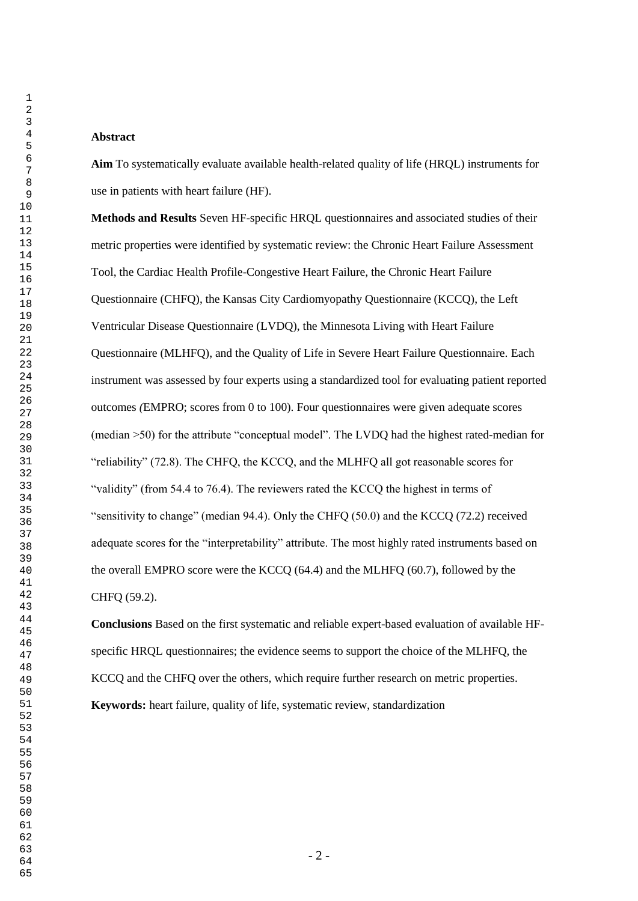#### **Abstract**

**Aim** To systematically evaluate available health-related quality of life (HRQL) instruments for use in patients with heart failure (HF).

**Methods and Results** Seven HF-specific HRQL questionnaires and associated studies of their metric properties were identified by systematic review: the Chronic Heart Failure Assessment Tool, the Cardiac Health Profile-Congestive Heart Failure, the Chronic Heart Failure Questionnaire (CHFQ), the Kansas City Cardiomyopathy Questionnaire (KCCQ), the Left Ventricular Disease Questionnaire (LVDQ), the Minnesota Living with Heart Failure Questionnaire (MLHFQ), and the Quality of Life in Severe Heart Failure Questionnaire. Each instrument was assessed by four experts using a standardized tool for evaluating patient reported outcomes *(*EMPRO; scores from 0 to 100). Four questionnaires were given adequate scores (median >50) for the attribute "conceptual model". The LVDQ had the highest rated-median for "reliability" (72.8). The CHFQ, the KCCQ, and the MLHFQ all got reasonable scores for "validity" (from 54.4 to 76.4). The reviewers rated the KCCQ the highest in terms of "sensitivity to change" (median 94.4). Only the CHFQ (50.0) and the KCCQ (72.2) received adequate scores for the "interpretability" attribute. The most highly rated instruments based on the overall EMPRO score were the KCCQ (64.4) and the MLHFQ (60.7), followed by the CHFQ (59.2).

**Conclusions** Based on the first systematic and reliable expert-based evaluation of available HFspecific HRQL questionnaires; the evidence seems to support the choice of the MLHFQ, the KCCQ and the CHFQ over the others, which require further research on metric properties. **Keywords:** heart failure, quality of life, systematic review, standardization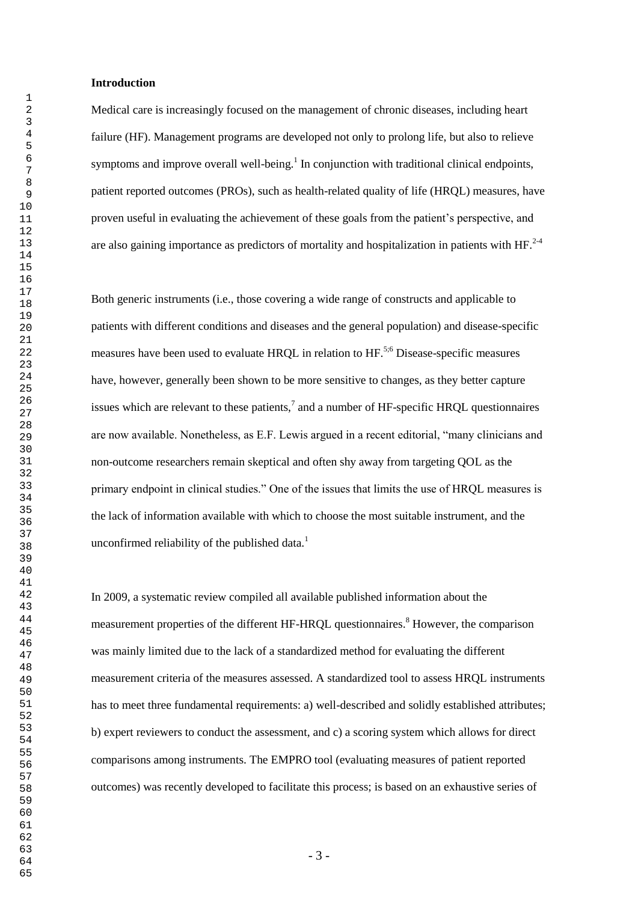### **Introduction**

Medical care is increasingly focused on the management of chronic diseases, including heart failure (HF). Management programs are developed not only to prolong life, but also to relieve symptoms and improve overall well-being.<sup>1</sup> In conjunction with traditional clinical endpoints, patient reported outcomes (PROs), such as health-related quality of life (HRQL) measures, have proven useful in evaluating the achievement of these goals from the patient's perspective, and are also gaining importance as predictors of mortality and hospitalization in patients with  $HF<sup>2-4</sup>$ .

Both generic instruments (i.e., those covering a wide range of constructs and applicable to patients with different conditions and diseases and the general population) and disease-specific measures have been used to evaluate HROL in relation to HF.<sup>5;6</sup> Disease-specific measures have, however, generally been shown to be more sensitive to changes, as they better capture issues which are relevant to these patients, $^7$  and a number of HF-specific HRQL questionnaires are now available. Nonetheless, as E.F. Lewis argued in a recent editorial, "many clinicians and non-outcome researchers remain skeptical and often shy away from targeting QOL as the primary endpoint in clinical studies." One of the issues that limits the use of HRQL measures is the lack of information available with which to choose the most suitable instrument, and the unconfirmed reliability of the published data. $<sup>1</sup>$ </sup>

In 2009, a systematic review compiled all available published information about the measurement properties of the different HF-HRQL questionnaires.<sup>8</sup> However, the comparison was mainly limited due to the lack of a standardized method for evaluating the different measurement criteria of the measures assessed. A standardized tool to assess HRQL instruments has to meet three fundamental requirements: a) well-described and solidly established attributes; b) expert reviewers to conduct the assessment, and c) a scoring system which allows for direct comparisons among instruments. The EMPRO tool (evaluating measures of patient reported outcomes) was recently developed to facilitate this process; is based on an exhaustive series of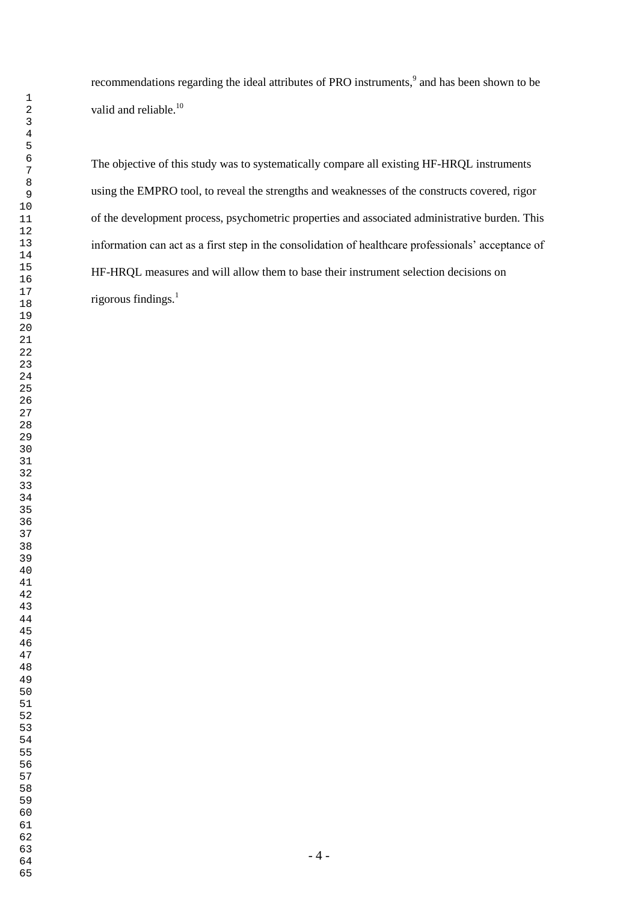recommendations regarding the ideal attributes of PRO instruments,<sup>9</sup> and has been shown to be valid and reliable.<sup>10</sup>

The objective of this study was to systematically compare all existing HF-HRQL instruments using the EMPRO tool, to reveal the strengths and weaknesses of the constructs covered, rigor of the development process, psychometric properties and associated administrative burden. This information can act as a first step in the consolidation of healthcare professionals' acceptance of HF-HRQL measures and will allow them to base their instrument selection decisions on rigorous findings. $<sup>1</sup>$ </sup>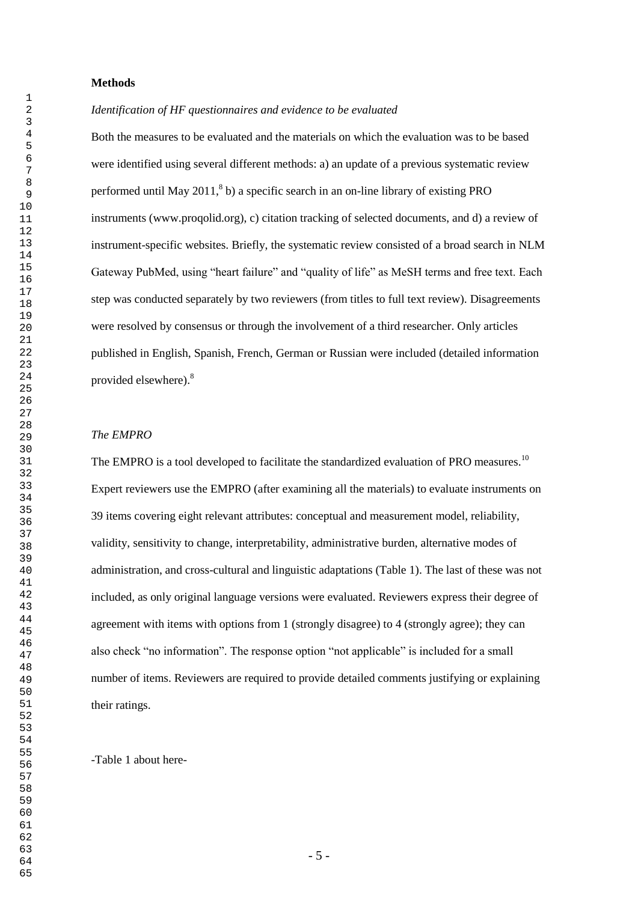### **Methods**

*Identification of HF questionnaires and evidence to be evaluated*

Both the measures to be evaluated and the materials on which the evaluation was to be based were identified using several different methods: a) an update of a previous systematic review performed until May ,  $8$  b) a specific search in an on-line library of existing PRO instruments (www.proqolid.org), c) citation tracking of selected documents, and d) a review of instrument-specific websites. Briefly, the systematic review consisted of a broad search in NLM Gateway PubMed, using "heart failure" and "quality of life" as MeSH terms and free text. Each step was conducted separately by two reviewers (from titles to full text review). Disagreements were resolved by consensus or through the involvement of a third researcher. Only articles published in English, Spanish, French, German or Russian were included (detailed information provided elsewhere).<sup>8</sup>

#### *The EMPRO*

The EMPRO is a tool developed to facilitate the standardized evaluation of PRO measures.<sup>10</sup> Expert reviewers use the EMPRO (after examining all the materials) to evaluate instruments on 39 items covering eight relevant attributes: conceptual and measurement model, reliability, validity, sensitivity to change, interpretability, administrative burden, alternative modes of administration, and cross-cultural and linguistic adaptations (Table 1). The last of these was not included, as only original language versions were evaluated. Reviewers express their degree of agreement with items with options from 1 (strongly disagree) to 4 (strongly agree); they can also check "no information". The response option "not applicable" is included for a small number of items. Reviewers are required to provide detailed comments justifying or explaining their ratings.

-Table 1 about here-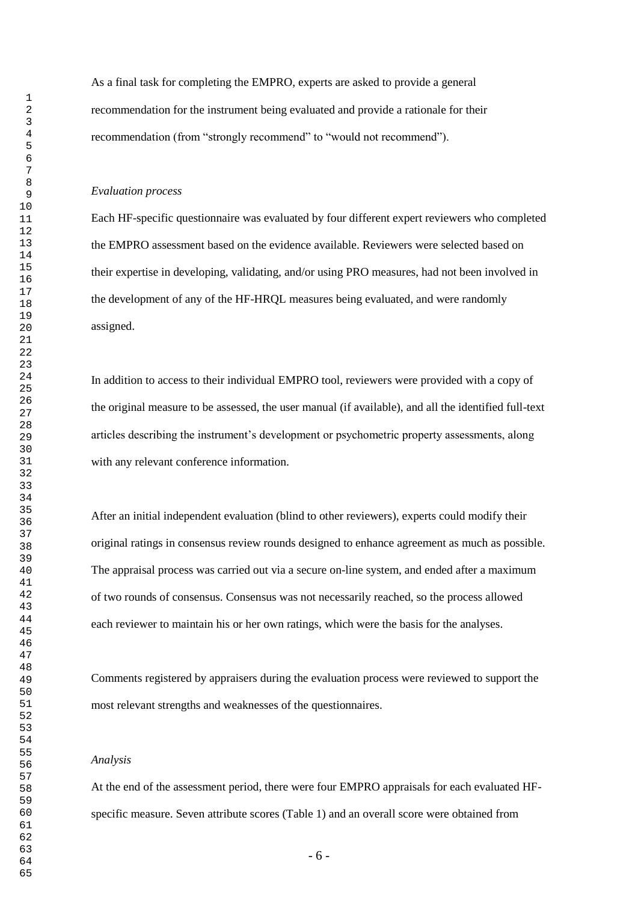As a final task for completing the EMPRO, experts are asked to provide a general recommendation for the instrument being evaluated and provide a rationale for their recommendation (from "strongly recommend" to "would not recommend").

#### *Evaluation process*

Each HF-specific questionnaire was evaluated by four different expert reviewers who completed the EMPRO assessment based on the evidence available. Reviewers were selected based on their expertise in developing, validating, and/or using PRO measures, had not been involved in the development of any of the HF-HRQL measures being evaluated, and were randomly assigned.

In addition to access to their individual EMPRO tool, reviewers were provided with a copy of the original measure to be assessed, the user manual (if available), and all the identified full-text articles describing the instrument's development or psychometric property assessments, along with any relevant conference information.

After an initial independent evaluation (blind to other reviewers), experts could modify their original ratings in consensus review rounds designed to enhance agreement as much as possible. The appraisal process was carried out via a secure on-line system, and ended after a maximum of two rounds of consensus. Consensus was not necessarily reached, so the process allowed each reviewer to maintain his or her own ratings, which were the basis for the analyses.

Comments registered by appraisers during the evaluation process were reviewed to support the most relevant strengths and weaknesses of the questionnaires.

#### *Analysis*

At the end of the assessment period, there were four EMPRO appraisals for each evaluated HFspecific measure. Seven attribute scores (Table 1) and an overall score were obtained from

- 6 -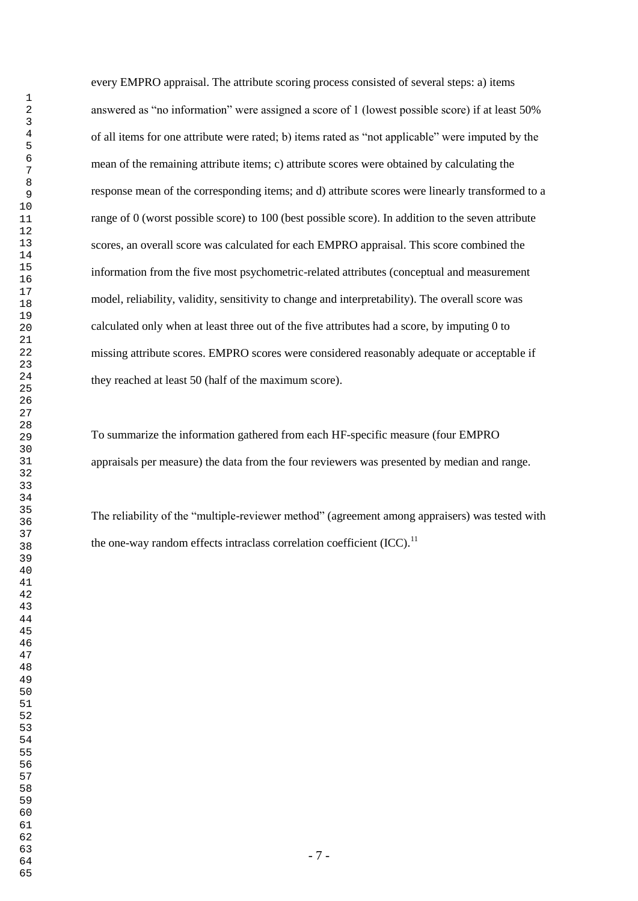every EMPRO appraisal. The attribute scoring process consisted of several steps: a) items answered as "no information" were assigned a score of 1 (lowest possible score) if at least 50% of all items for one attribute were rated; b) items rated as "not applicable" were imputed by the mean of the remaining attribute items; c) attribute scores were obtained by calculating the response mean of the corresponding items; and d) attribute scores were linearly transformed to a range of 0 (worst possible score) to 100 (best possible score). In addition to the seven attribute scores, an overall score was calculated for each EMPRO appraisal. This score combined the information from the five most psychometric-related attributes (conceptual and measurement model, reliability, validity, sensitivity to change and interpretability). The overall score was calculated only when at least three out of the five attributes had a score, by imputing 0 to missing attribute scores. EMPRO scores were considered reasonably adequate or acceptable if they reached at least 50 (half of the maximum score).

To summarize the information gathered from each HF-specific measure (four EMPRO appraisals per measure) the data from the four reviewers was presented by median and range.

The reliability of the "multiple-reviewer method" (agreement among appraisers) was tested with the one-way random effects intraclass correlation coefficient  $(ICC)$ .<sup>11</sup>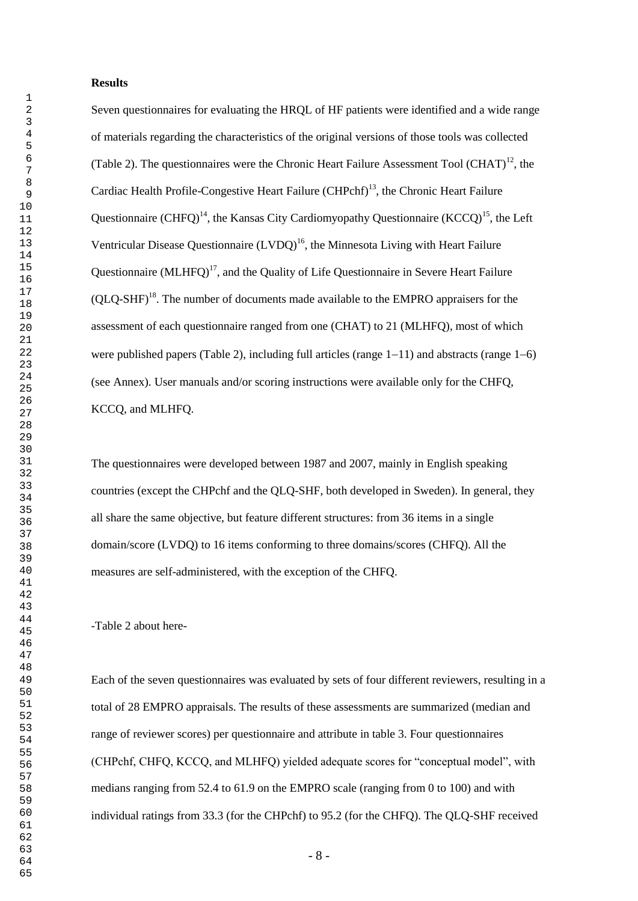### **Results**

Seven questionnaires for evaluating the HRQL of HF patients were identified and a wide range of materials regarding the characteristics of the original versions of those tools was collected (Table 2). The questionnaires were the Chronic Heart Failure Assessment Tool  $(CHAT)^{12}$ , the Cardiac Health Profile-Congestive Heart Failure (CHPchf)<sup>13</sup>, the Chronic Heart Failure Questionnaire (CHFO)<sup>14</sup>, the Kansas City Cardiomyopathy Questionnaire (KCCO)<sup>15</sup>, the Left Ventricular Disease Questionnaire  $(LVDQ)^{16}$ , the Minnesota Living with Heart Failure Questionnaire (MLHFQ)<sup>17</sup>, and the Quality of Life Questionnaire in Severe Heart Failure  $(OLO-SHF)<sup>18</sup>$ . The number of documents made available to the EMPRO appraisers for the assessment of each questionnaire ranged from one (CHAT) to 21 (MLHFQ), most of which were published papers (Table 2), including full articles (range  $1-11$ ) and abstracts (range  $1-6$ ) (see Annex). User manuals and/or scoring instructions were available only for the CHFQ, KCCQ, and MLHFQ.

The questionnaires were developed between 1987 and 2007, mainly in English speaking countries (except the CHPchf and the QLQ-SHF, both developed in Sweden). In general, they all share the same objective, but feature different structures: from 36 items in a single domain/score (LVDQ) to 16 items conforming to three domains/scores (CHFQ). All the measures are self-administered, with the exception of the CHFQ.

-Table 2 about here-

Each of the seven questionnaires was evaluated by sets of four different reviewers, resulting in a total of 28 EMPRO appraisals. The results of these assessments are summarized (median and range of reviewer scores) per questionnaire and attribute in table 3. Four questionnaires (CHPchf, CHFQ, KCCQ, and MLHFQ) yielded adequate scores for "conceptual model", with medians ranging from 52.4 to 61.9 on the EMPRO scale (ranging from 0 to 100) and with individual ratings from 33.3 (for the CHPchf) to 95.2 (for the CHFQ). The QLQ-SHF received

- 8 -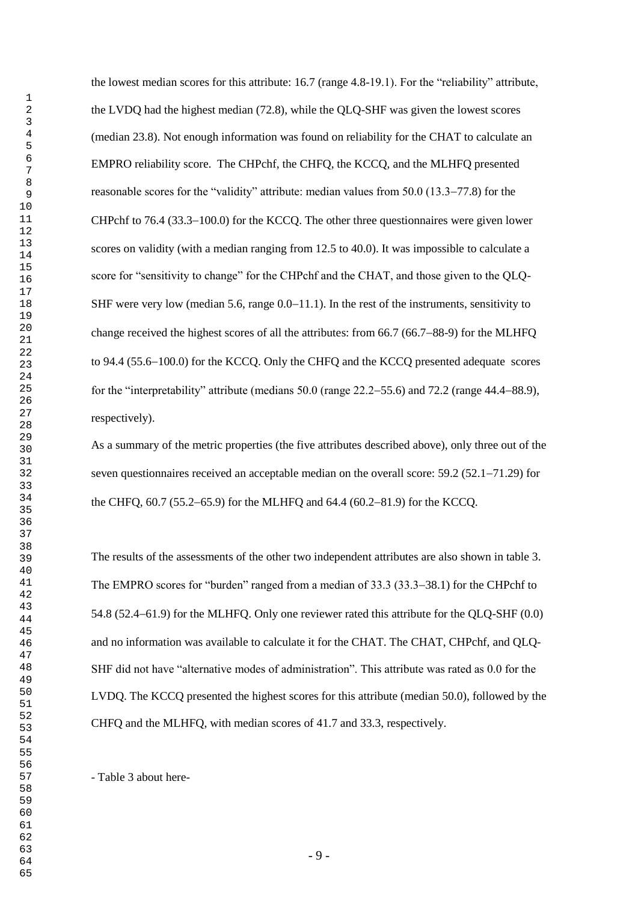the lowest median scores for this attribute: 16.7 (range 4.8-19.1). For the "reliability" attribute, the LVDQ had the highest median (72.8), while the QLQ-SHF was given the lowest scores (median 23.8). Not enough information was found on reliability for the CHAT to calculate an EMPRO reliability score. The CHPchf, the CHFQ, the KCCQ, and the MLHFQ presented reasonable scores for the "validity" attribute: median values from  $50.0$  (13.3–77.8) for the CHPchf to  $76.4$  (33.3–100.0) for the KCCO. The other three questionnaires were given lower scores on validity (with a median ranging from 12.5 to 40.0). It was impossible to calculate a score for "sensitivity to change" for the CHPchf and the CHAT, and those given to the QLQ-SHF were very low (median 5.6, range  $0.0-11.1$ ). In the rest of the instruments, sensitivity to change received the highest scores of all the attributes: from  $66.7 (66.7–88-9)$  for the MLHFQ to  $94.4$  (55.6–100.0) for the KCCQ. Only the CHFQ and the KCCQ presented adequate scores for the "interpretability" attribute (medians  $50.0$  (range  $22.2-55.6$ ) and  $72.2$  (range  $44.4-88.9$ ), respectively).

As a summary of the metric properties (the five attributes described above), only three out of the seven questionnaires received an acceptable median on the overall score:  $59.2$  ( $52.1$ – $71.29$ ) for the CHFQ,  $60.7$  (55.2–65.9) for the MLHFQ and  $64.4$  ( $60.2–81.9$ ) for the KCCQ.

The results of the assessments of the other two independent attributes are also shown in table 3. The EMPRO scores for "burden" ranged from a median of 33.3 (33.3–38.1) for the CHPchf to 54.8 (52.4–61.9) for the MLHFQ. Only one reviewer rated this attribute for the OLO-SHF  $(0.0)$ and no information was available to calculate it for the CHAT. The CHAT, CHPchf, and QLQ-SHF did not have "alternative modes of administration". This attribute was rated as 0.0 for the LVDQ. The KCCQ presented the highest scores for this attribute (median 50.0), followed by the CHFQ and the MLHFQ, with median scores of 41.7 and 33.3, respectively.

- Table 3 about here-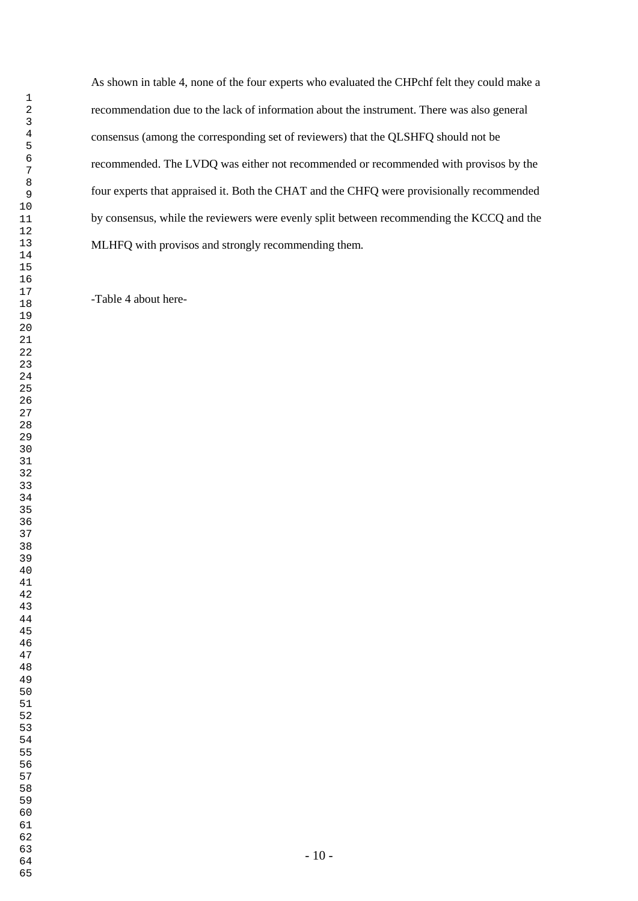As shown in table 4, none of the four experts who evaluated the CHPchf felt they could make a recommendation due to the lack of information about the instrument. There was also general consensus (among the corresponding set of reviewers) that the QLSHFQ should not be recommended. The LVDQ was either not recommended or recommended with provisos by the four experts that appraised it. Both the CHAT and the CHFQ were provisionally recommended by consensus, while the reviewers were evenly split between recommending the KCCQ and the MLHFQ with provisos and strongly recommending them.

-Table 4 about here-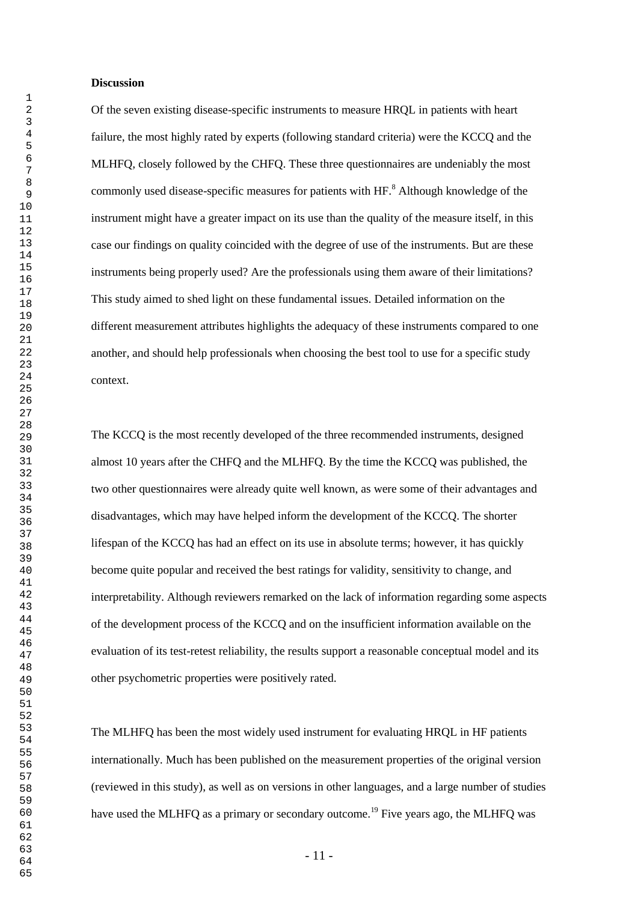#### **Discussion**

Of the seven existing disease-specific instruments to measure HRQL in patients with heart failure, the most highly rated by experts (following standard criteria) were the KCCQ and the MLHFQ, closely followed by the CHFQ. These three questionnaires are undeniably the most commonly used disease-specific measures for patients with HF.<sup>8</sup> Although knowledge of the instrument might have a greater impact on its use than the quality of the measure itself, in this case our findings on quality coincided with the degree of use of the instruments. But are these instruments being properly used? Are the professionals using them aware of their limitations? This study aimed to shed light on these fundamental issues. Detailed information on the different measurement attributes highlights the adequacy of these instruments compared to one another, and should help professionals when choosing the best tool to use for a specific study context.

The KCCQ is the most recently developed of the three recommended instruments, designed almost 10 years after the CHFQ and the MLHFQ. By the time the KCCQ was published, the two other questionnaires were already quite well known, as were some of their advantages and disadvantages, which may have helped inform the development of the KCCQ. The shorter lifespan of the KCCQ has had an effect on its use in absolute terms; however, it has quickly become quite popular and received the best ratings for validity, sensitivity to change, and interpretability. Although reviewers remarked on the lack of information regarding some aspects of the development process of the KCCQ and on the insufficient information available on the evaluation of its test-retest reliability, the results support a reasonable conceptual model and its other psychometric properties were positively rated.

The MLHFQ has been the most widely used instrument for evaluating HRQL in HF patients internationally. Much has been published on the measurement properties of the original version (reviewed in this study), as well as on versions in other languages, and a large number of studies have used the MLHFQ as a primary or secondary outcome.<sup>19</sup> Five years ago, the MLHFQ was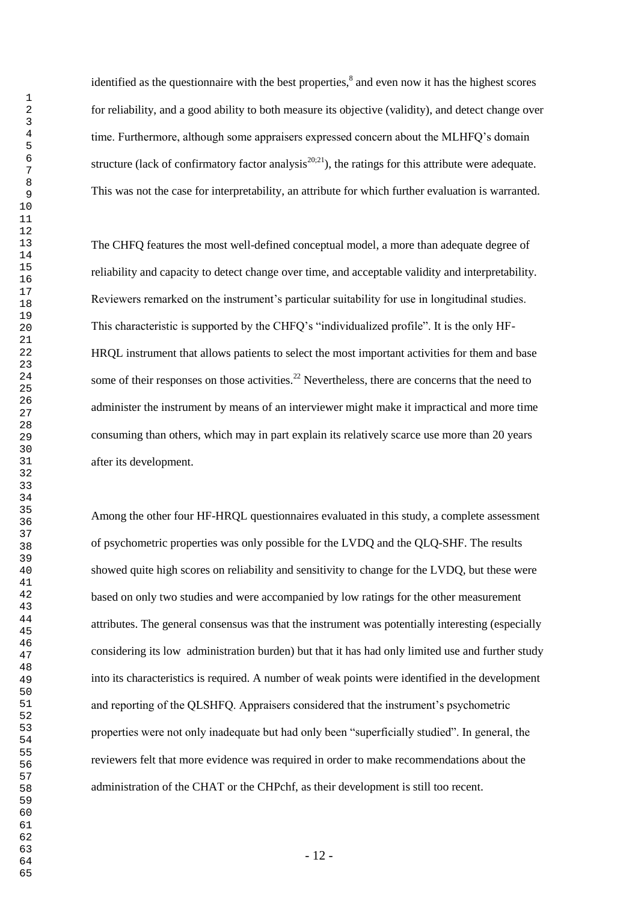identified as the questionnaire with the best properties, $\delta$  and even now it has the highest scores for reliability, and a good ability to both measure its objective (validity), and detect change over time. Furthermore, although some appraisers expressed concern about the MLHFQ's domain structure (lack of confirmatory factor analysis<sup>20;21</sup>), the ratings for this attribute were adequate. This was not the case for interpretability, an attribute for which further evaluation is warranted.

The CHFQ features the most well-defined conceptual model, a more than adequate degree of reliability and capacity to detect change over time, and acceptable validity and interpretability. Reviewers remarked on the instrument's particular suitability for use in longitudinal studies. This characteristic is supported by the CHFQ's "individualized profile". It is the only HF-HRQL instrument that allows patients to select the most important activities for them and base some of their responses on those activities.<sup>22</sup> Nevertheless, there are concerns that the need to administer the instrument by means of an interviewer might make it impractical and more time consuming than others, which may in part explain its relatively scarce use more than 20 years after its development.

Among the other four HF-HRQL questionnaires evaluated in this study, a complete assessment of psychometric properties was only possible for the LVDQ and the QLQ-SHF. The results showed quite high scores on reliability and sensitivity to change for the LVDQ, but these were based on only two studies and were accompanied by low ratings for the other measurement attributes. The general consensus was that the instrument was potentially interesting (especially considering its low administration burden) but that it has had only limited use and further study into its characteristics is required. A number of weak points were identified in the development and reporting of the QLSHFQ. Appraisers considered that the instrument's psychometric properties were not only inadequate but had only been "superficially studied". In general, the reviewers felt that more evidence was required in order to make recommendations about the administration of the CHAT or the CHPchf, as their development is still too recent.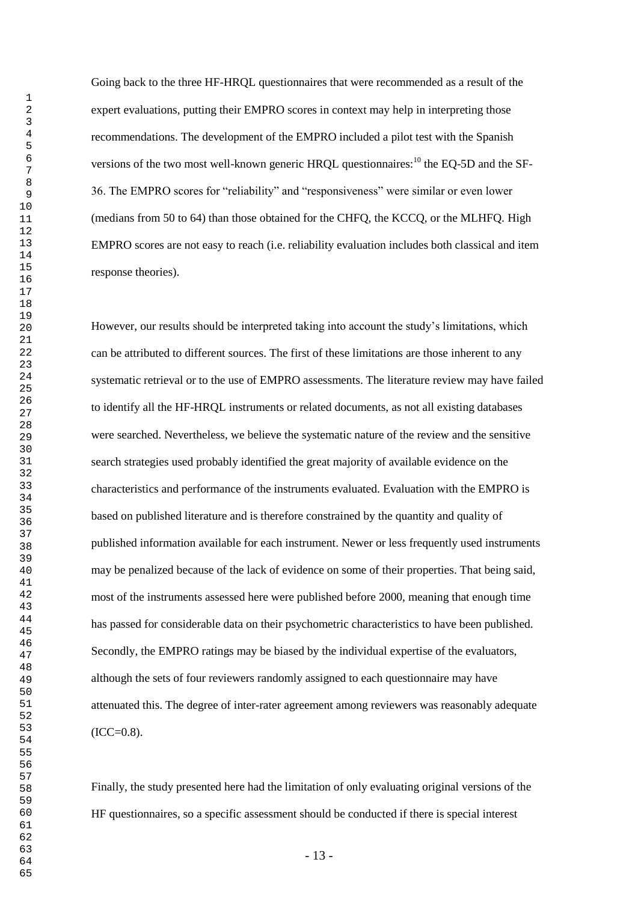Going back to the three HF-HRQL questionnaires that were recommended as a result of the expert evaluations, putting their EMPRO scores in context may help in interpreting those recommendations. The development of the EMPRO included a pilot test with the Spanish versions of the two most well-known generic HRQL questionnaires: $^{10}$  the EQ-5D and the SF-36. The EMPRO scores for "reliability" and "responsiveness" were similar or even lower (medians from 50 to 64) than those obtained for the CHFQ, the KCCQ, or the MLHFQ. High EMPRO scores are not easy to reach (i.e. reliability evaluation includes both classical and item response theories).

However, our results should be interpreted taking into account the study's limitations, which can be attributed to different sources. The first of these limitations are those inherent to any systematic retrieval or to the use of EMPRO assessments. The literature review may have failed to identify all the HF-HRQL instruments or related documents, as not all existing databases were searched. Nevertheless, we believe the systematic nature of the review and the sensitive search strategies used probably identified the great majority of available evidence on the characteristics and performance of the instruments evaluated. Evaluation with the EMPRO is based on published literature and is therefore constrained by the quantity and quality of published information available for each instrument. Newer or less frequently used instruments may be penalized because of the lack of evidence on some of their properties. That being said, most of the instruments assessed here were published before 2000, meaning that enough time has passed for considerable data on their psychometric characteristics to have been published. Secondly, the EMPRO ratings may be biased by the individual expertise of the evaluators, although the sets of four reviewers randomly assigned to each questionnaire may have attenuated this. The degree of inter-rater agreement among reviewers was reasonably adequate  $(ICC=0.8)$ .

Finally, the study presented here had the limitation of only evaluating original versions of the HF questionnaires, so a specific assessment should be conducted if there is special interest

- 13 -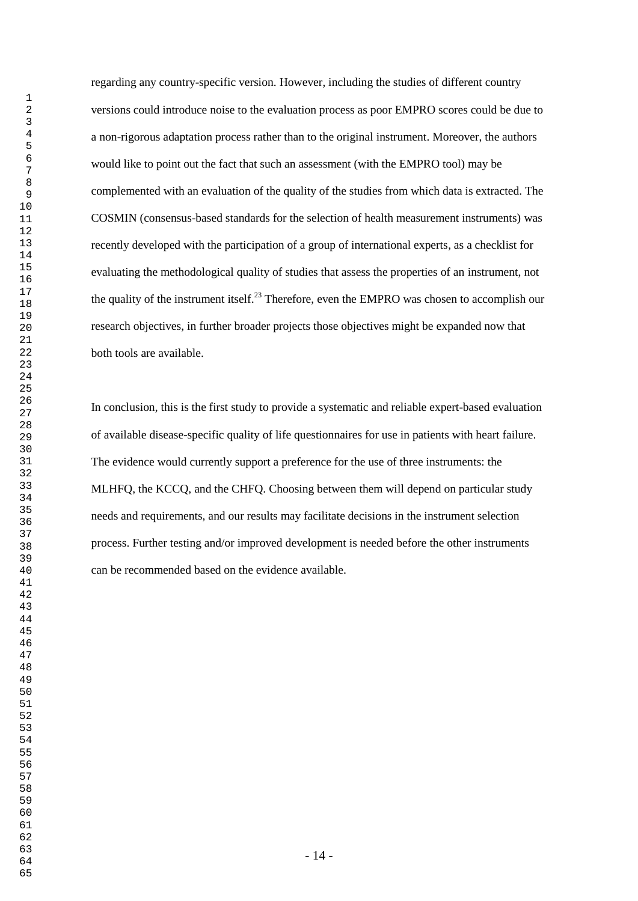regarding any country-specific version. However, including the studies of different country versions could introduce noise to the evaluation process as poor EMPRO scores could be due to a non-rigorous adaptation process rather than to the original instrument. Moreover, the authors would like to point out the fact that such an assessment (with the EMPRO tool) may be complemented with an evaluation of the quality of the studies from which data is extracted. The COSMIN (consensus-based standards for the selection of health measurement instruments) was recently developed with the participation of a group of international experts, as a checklist for evaluating the methodological quality of studies that assess the properties of an instrument, not the quality of the instrument itself.<sup>23</sup> Therefore, even the EMPRO was chosen to accomplish our research objectives, in further broader projects those objectives might be expanded now that both tools are available.

In conclusion, this is the first study to provide a systematic and reliable expert-based evaluation of available disease-specific quality of life questionnaires for use in patients with heart failure. The evidence would currently support a preference for the use of three instruments: the MLHFQ, the KCCQ, and the CHFQ. Choosing between them will depend on particular study needs and requirements, and our results may facilitate decisions in the instrument selection process. Further testing and/or improved development is needed before the other instruments can be recommended based on the evidence available.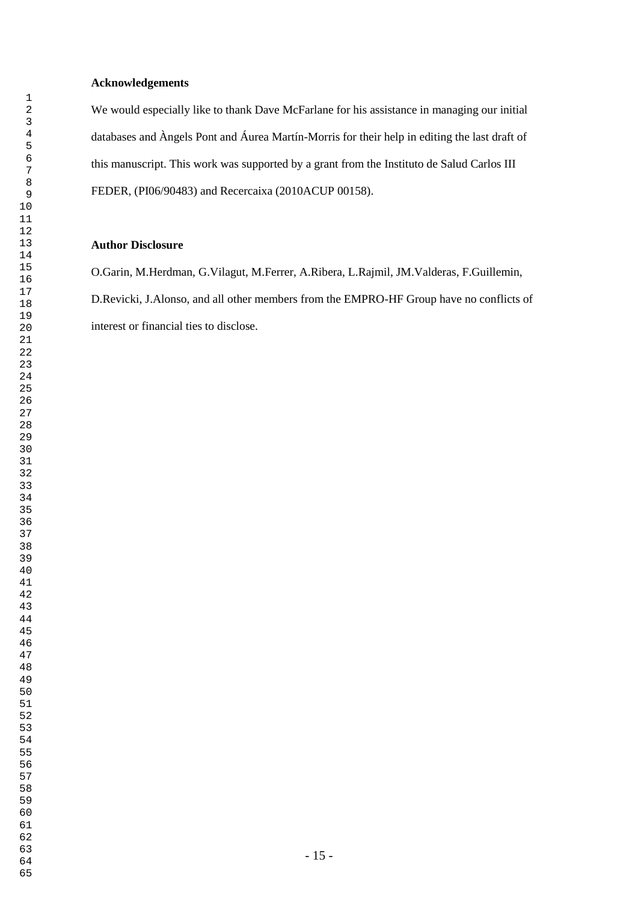## **Acknowledgements**

We would especially like to thank Dave McFarlane for his assistance in managing our initial databases and Àngels Pont and Áurea Martín-Morris for their help in editing the last draft of this manuscript. This work was supported by a grant from the Instituto de Salud Carlos III FEDER, (PI06/90483) and Recercaixa (2010ACUP 00158).

## **Author Disclosure**

O.Garin, M.Herdman, G.Vilagut, M.Ferrer, A.Ribera, L.Rajmil, JM.Valderas, F.Guillemin, D.Revicki, J.Alonso, and all other members from the EMPRO-HF Group have no conflicts of interest or financial ties to disclose.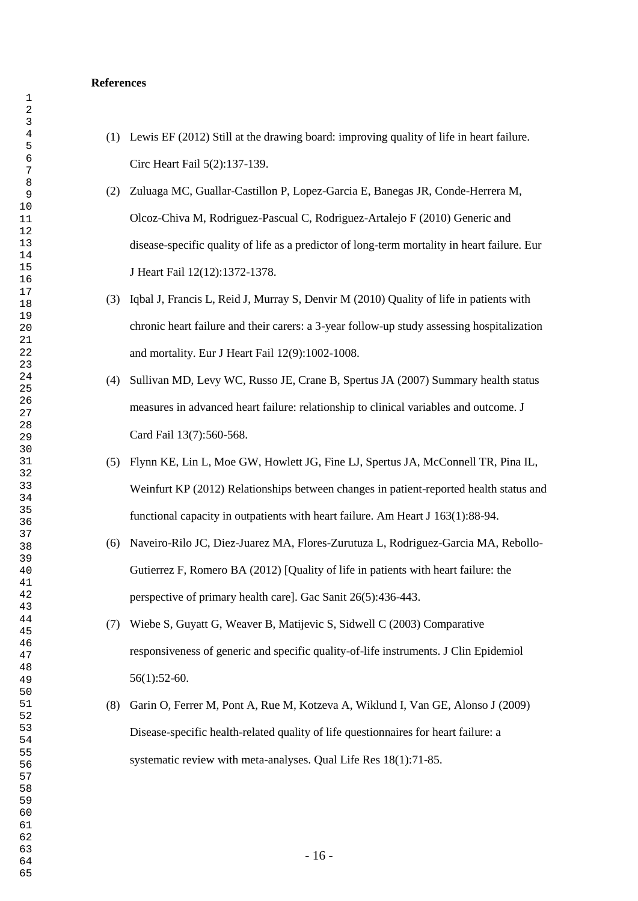#### **References**

- (1) Lewis EF (2012) Still at the drawing board: improving quality of life in heart failure. Circ Heart Fail 5(2):137-139.
- (2) Zuluaga MC, Guallar-Castillon P, Lopez-Garcia E, Banegas JR, Conde-Herrera M, Olcoz-Chiva M, Rodriguez-Pascual C, Rodriguez-Artalejo F (2010) Generic and disease-specific quality of life as a predictor of long-term mortality in heart failure. Eur J Heart Fail 12(12):1372-1378.
- (3) Iqbal J, Francis L, Reid J, Murray S, Denvir M (2010) Quality of life in patients with chronic heart failure and their carers: a 3-year follow-up study assessing hospitalization and mortality. Eur J Heart Fail 12(9):1002-1008.
- (4) Sullivan MD, Levy WC, Russo JE, Crane B, Spertus JA (2007) Summary health status measures in advanced heart failure: relationship to clinical variables and outcome. J Card Fail 13(7):560-568.
- (5) Flynn KE, Lin L, Moe GW, Howlett JG, Fine LJ, Spertus JA, McConnell TR, Pina IL, Weinfurt KP (2012) Relationships between changes in patient-reported health status and functional capacity in outpatients with heart failure. Am Heart J 163(1):88-94.
- (6) Naveiro-Rilo JC, Diez-Juarez MA, Flores-Zurutuza L, Rodriguez-Garcia MA, Rebollo-Gutierrez F, Romero BA (2012) [Quality of life in patients with heart failure: the perspective of primary health care]. Gac Sanit 26(5):436-443.
- (7) Wiebe S, Guyatt G, Weaver B, Matijevic S, Sidwell C (2003) Comparative responsiveness of generic and specific quality-of-life instruments. J Clin Epidemiol 56(1):52-60.
- (8) Garin O, Ferrer M, Pont A, Rue M, Kotzeva A, Wiklund I, Van GE, Alonso J (2009) Disease-specific health-related quality of life questionnaires for heart failure: a systematic review with meta-analyses. Qual Life Res 18(1):71-85.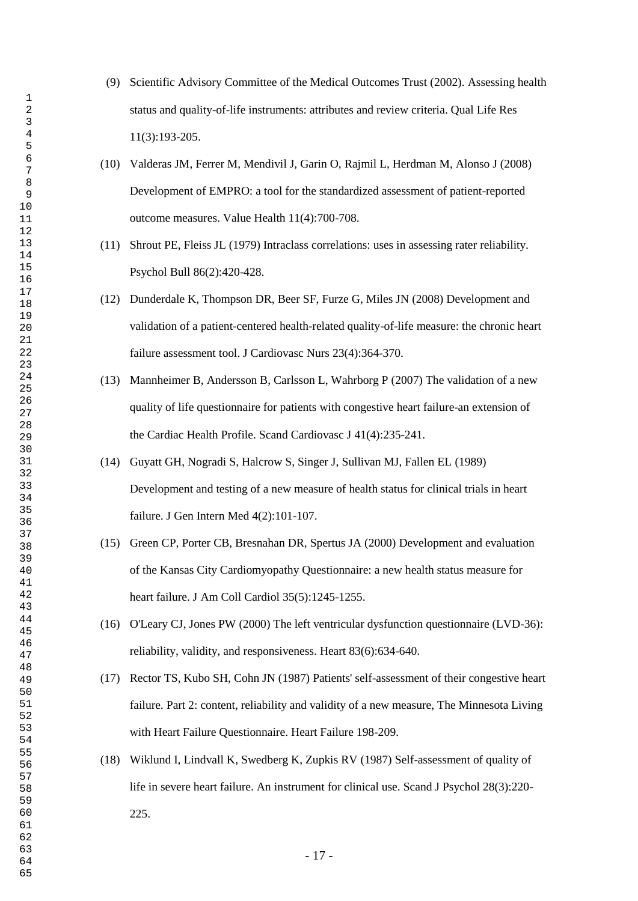- (9) Scientific Advisory Committee of the Medical Outcomes Trust (2002). Assessing health status and quality-of-life instruments: attributes and review criteria. Qual Life Res 11(3):193-205.
- (10) Valderas JM, Ferrer M, Mendivil J, Garin O, Rajmil L, Herdman M, Alonso J (2008) Development of EMPRO: a tool for the standardized assessment of patient-reported outcome measures. Value Health 11(4):700-708.
- (11) Shrout PE, Fleiss JL (1979) Intraclass correlations: uses in assessing rater reliability. Psychol Bull 86(2):420-428.
- (12) Dunderdale K, Thompson DR, Beer SF, Furze G, Miles JN (2008) Development and validation of a patient-centered health-related quality-of-life measure: the chronic heart failure assessment tool. J Cardiovasc Nurs 23(4):364-370.
- (13) Mannheimer B, Andersson B, Carlsson L, Wahrborg P (2007) The validation of a new quality of life questionnaire for patients with congestive heart failure-an extension of the Cardiac Health Profile. Scand Cardiovasc J 41(4):235-241.
- (14) Guyatt GH, Nogradi S, Halcrow S, Singer J, Sullivan MJ, Fallen EL (1989) Development and testing of a new measure of health status for clinical trials in heart failure. J Gen Intern Med 4(2):101-107.
- (15) Green CP, Porter CB, Bresnahan DR, Spertus JA (2000) Development and evaluation of the Kansas City Cardiomyopathy Questionnaire: a new health status measure for heart failure. J Am Coll Cardiol 35(5):1245-1255.
- (16) O'Leary CJ, Jones PW (2000) The left ventricular dysfunction questionnaire (LVD-36): reliability, validity, and responsiveness. Heart 83(6):634-640.
- (17) Rector TS, Kubo SH, Cohn JN (1987) Patients' self-assessment of their congestive heart failure. Part 2: content, reliability and validity of a new measure, The Minnesota Living with Heart Failure Questionnaire. Heart Failure 198-209.
- (18) Wiklund I, Lindvall K, Swedberg K, Zupkis RV (1987) Self-assessment of quality of life in severe heart failure. An instrument for clinical use. Scand J Psychol 28(3):220- 225.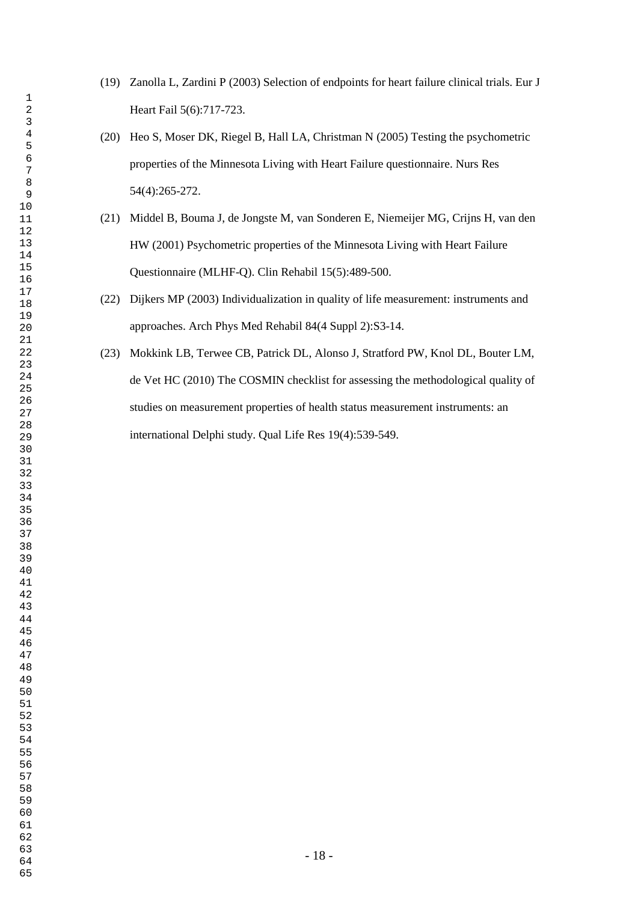- (19) Zanolla L, Zardini P (2003) Selection of endpoints for heart failure clinical trials. Eur J Heart Fail 5(6):717-723.
- (20) Heo S, Moser DK, Riegel B, Hall LA, Christman N (2005) Testing the psychometric properties of the Minnesota Living with Heart Failure questionnaire. Nurs Res 54(4):265-272.
- (21) Middel B, Bouma J, de Jongste M, van Sonderen E, Niemeijer MG, Crijns H, van den HW (2001) Psychometric properties of the Minnesota Living with Heart Failure Questionnaire (MLHF-Q). Clin Rehabil 15(5):489-500.
- (22) Dijkers MP (2003) Individualization in quality of life measurement: instruments and approaches. Arch Phys Med Rehabil 84(4 Suppl 2):S3-14.
- (23) Mokkink LB, Terwee CB, Patrick DL, Alonso J, Stratford PW, Knol DL, Bouter LM, de Vet HC (2010) The COSMIN checklist for assessing the methodological quality of studies on measurement properties of health status measurement instruments: an international Delphi study. Qual Life Res 19(4):539-549.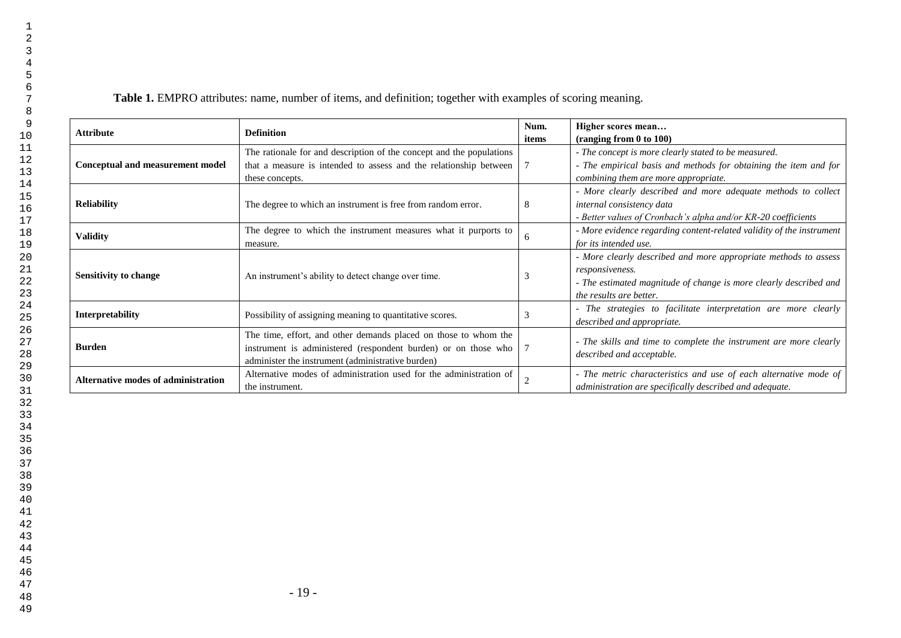| <b>Attribute</b>                    | <b>Definition</b>                                                                                                                                                                      |   | Higher scores mean<br>$($ ranging from $0$ to $100$ )                                                                                                                              |  |  |
|-------------------------------------|----------------------------------------------------------------------------------------------------------------------------------------------------------------------------------------|---|------------------------------------------------------------------------------------------------------------------------------------------------------------------------------------|--|--|
| Conceptual and measurement model    | The rationale for and description of the concept and the populations<br>that a measure is intended to assess and the relationship between<br>these concepts.                           |   | - The concept is more clearly stated to be measured.<br>- The empirical basis and methods for obtaining the item and for<br>combining them are more appropriate.                   |  |  |
| <b>Reliability</b>                  | The degree to which an instrument is free from random error.                                                                                                                           | 8 | - More clearly described and more adequate methods to collect<br>internal consistency data<br>- Better values of Cronbach's alpha and/or KR-20 coefficients                        |  |  |
| <b>Validity</b>                     | The degree to which the instrument measures what it purports to<br>measure.                                                                                                            | 6 | - More evidence regarding content-related validity of the instrument<br>for its intended use.                                                                                      |  |  |
| <b>Sensitivity to change</b>        | An instrument's ability to detect change over time.                                                                                                                                    | 3 | - More clearly described and more appropriate methods to assess<br>responsiveness.<br>- The estimated magnitude of change is more clearly described and<br>the results are better. |  |  |
| Interpretability                    | Possibility of assigning meaning to quantitative scores.                                                                                                                               |   | - The strategies to facilitate interpretation are more clearly<br>described and appropriate.                                                                                       |  |  |
| <b>Burden</b>                       | The time, effort, and other demands placed on those to whom the<br>instrument is administered (respondent burden) or on those who<br>administer the instrument (administrative burden) |   | - The skills and time to complete the instrument are more clearly<br>described and acceptable.                                                                                     |  |  |
| Alternative modes of administration | Alternative modes of administration used for the administration of<br>the instrument.                                                                                                  |   | - The metric characteristics and use of each alternative mode of<br>administration are specifically described and adequate.                                                        |  |  |

**Table 1.** EMPRO attributes: name, number of items, and definition; together with examples of scoring meaning.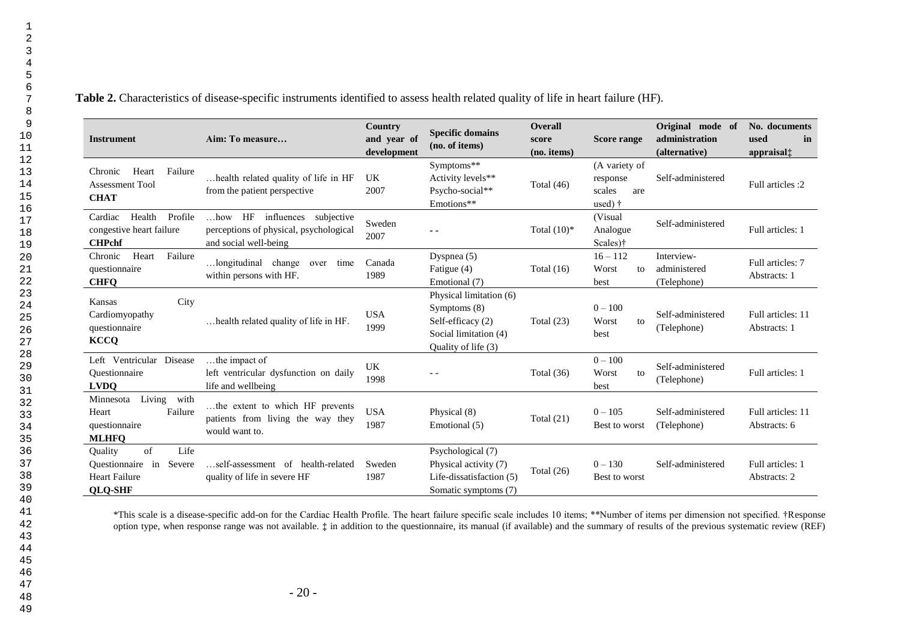**Table 2.** Characteristics of disease-specific instruments identified to assess health related quality of life in heart failure (HF).

| <b>Instrument</b>                                                                                | Aim: To measure                                                                                          | Country<br>and year of<br>development | <b>Specific domains</b><br>(no. of items)                                                                      | <b>Overall</b><br>score<br>(no. items) | <b>Score range</b>                                            | Original mode of<br>administration<br>(alternative) | No. documents<br>used<br>in<br>appraisal‡ |
|--------------------------------------------------------------------------------------------------|----------------------------------------------------------------------------------------------------------|---------------------------------------|----------------------------------------------------------------------------------------------------------------|----------------------------------------|---------------------------------------------------------------|-----------------------------------------------------|-------------------------------------------|
| Heart<br>Failure<br>Chronic<br>Assessment Tool<br><b>CHAT</b>                                    | health related quality of life in HF<br>from the patient perspective                                     | <b>UK</b><br>2007                     | Symptoms**<br>Activity levels**<br>Psycho-social**<br>Emotions**                                               | Total $(46)$                           | (A variety of<br>response<br>scales<br>are<br>used) $\dagger$ | Self-administered                                   | Full articles :2                          |
| Profile<br>Cardiac<br>Health<br>congestive heart failure<br><b>CHPchf</b>                        | $$ how HF<br>influences<br>subjective<br>perceptions of physical, psychological<br>and social well-being | Sweden<br>2007                        | $\sim$ $\sim$                                                                                                  | Total $(10)^*$                         | (Visual)<br>Analogue<br>Scales)†                              | Self-administered                                   | Full articles: 1                          |
| Heart<br>Failure<br>Chronic<br>questionnaire<br><b>CHFQ</b>                                      | longitudinal change<br>time<br>over<br>within persons with HF.                                           | Canada<br>1989                        | Dyspnea $(5)$<br>Fatigue (4)<br>Emotional (7)                                                                  | Total $(16)$                           | $16 - 112$<br>Worst<br>to<br>best                             | Interview-<br>administered<br>(Telephone)           | Full articles: 7<br>Abstracts: 1          |
| City<br>Kansas<br>Cardiomyopathy<br>questionnaire<br><b>KCCQ</b>                                 | health related quality of life in HF.                                                                    | <b>USA</b><br>1999                    | Physical limitation (6)<br>Symptoms $(8)$<br>Self-efficacy (2)<br>Social limitation (4)<br>Quality of life (3) | Total $(23)$                           | $0 - 100$<br>Worst<br>to<br>best                              | Self-administered<br>(Telephone)                    | Full articles: 11<br>Abstracts: 1         |
| Left Ventricular Disease<br>Ouestionnaire<br><b>LVDO</b>                                         | the impact of<br>left ventricular dysfunction on daily<br>life and wellbeing                             | <b>UK</b><br>1998                     | $- -$                                                                                                          | Total (36)                             | $0 - 100$<br>Worst<br>to<br>best                              | Self-administered<br>(Telephone)                    | Full articles: 1                          |
| Living<br>with<br>Minnesota<br>Failure<br>Heart<br>questionnaire<br><b>MLHFO</b>                 | the extent to which HF prevents<br>patients from living the way they<br>would want to.                   | <b>USA</b><br>1987                    | Physical (8)<br>Emotional (5)                                                                                  | Total $(21)$                           | $0 - 105$<br>Best to worst                                    | Self-administered<br>(Telephone)                    | Full articles: 11<br>Abstracts: 6         |
| of<br>Life<br>Ouality<br>Ouestionnaire<br>Severe<br>in<br><b>Heart Failure</b><br><b>QLQ-SHF</b> | self-assessment of health-related<br>quality of life in severe HF                                        | Sweden<br>1987                        | Psychological (7)<br>Physical activity (7)<br>Life-dissatisfaction (5)<br>Somatic symptoms (7)                 | Total $(26)$                           | $0 - 130$<br>Best to worst                                    | Self-administered                                   | Full articles: 1<br>Abstracts: 2          |

\*This scale is a disease-specific add-on for the Cardiac Health Profile. The heart failure specific scale includes 10 items; \*\*Number of items per dimension not specified. †Response option type, when response range was not available.  $\ddagger$  in addition to the questionnaire, its manual (if available) and the summary of results of the previous systematic review (REF)

48 49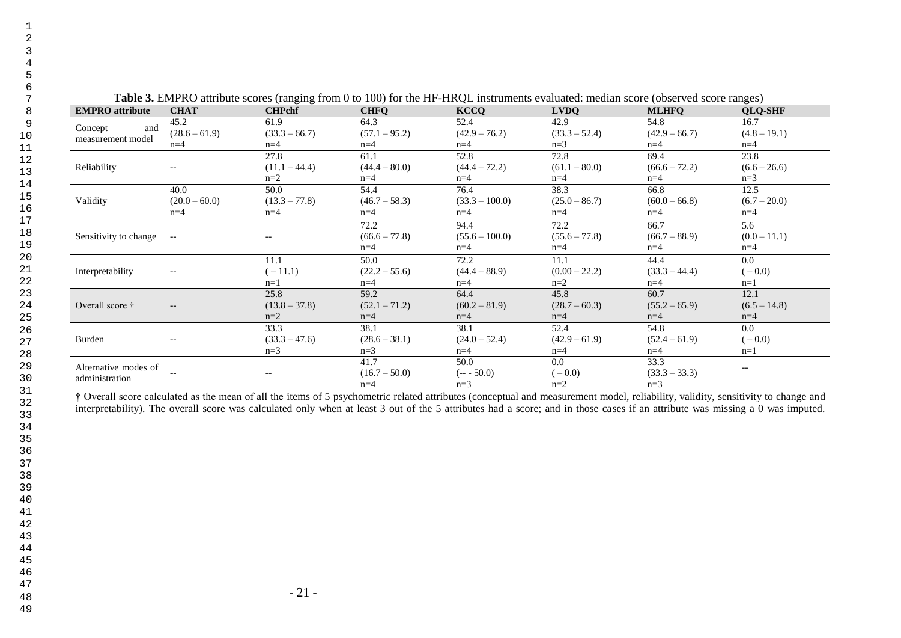|                                     |                         |                 |                     | Table 5. ENTI RO attribute scores (fanging from 0 to 100) for the fir-fired mstruments evaluated. Includin score (00set ved score fanges) |                         |                         |                       |
|-------------------------------------|-------------------------|-----------------|---------------------|-------------------------------------------------------------------------------------------------------------------------------------------|-------------------------|-------------------------|-----------------------|
| <b>EMPRO</b> attribute              | CHAT                    | CHPchf          | CHFC                | KCCO                                                                                                                                      | <b>LVDC</b>             | <b>MLHFC</b>            | <b>OLO-SHF</b>        |
| Concept<br>and<br>measurement model | 45.2<br>$(28.6 - 61.9)$ | $(33.3 - 66.7)$ | 04.J<br>$.1 - 95.2$ | $(42.9 - 76.2)$                                                                                                                           | 42.9<br>$(33.3 - 52.4)$ | 54.8<br>$(42.9 - 66.7)$ | 16.<br>$(4.8 - 19.1)$ |
|                                     | n=4                     | n=4             | n≕                  | $n = 4$                                                                                                                                   | $n =$                   | ı-                      | $n = 4$               |

**Table 3.** EMPRO attribute scores (ranging from 0 to 100) for the HF-HRQL instruments evaluated: median score (observed score ranges)

|                       |                                                     | 27.8            | 61.1            | 52.8             | 72.8            | 69.4            | 23.8           |
|-----------------------|-----------------------------------------------------|-----------------|-----------------|------------------|-----------------|-----------------|----------------|
| Reliability           | $\qquad \qquad -$                                   | $(11.1 - 44.4)$ | $(44.4 - 80.0)$ | $(44.4 - 72.2)$  | $(61.1 - 80.0)$ | $(66.6 - 72.2)$ | $(6.6 - 26.6)$ |
|                       |                                                     | $n=2$           | $n=4$           | $n=4$            | $n=4$           | $n=4$           | $n=3$          |
|                       | 40.0                                                | 50.0            | 54.4            | 76.4             | 38.3            | 66.8            | 12.5           |
| Validity              | $(20.0 - 60.0)$                                     | $(13.3 - 77.8)$ | $(46.7 - 58.3)$ | $(33.3 - 100.0)$ | $(25.0 - 86.7)$ | $(60.0 - 66.8)$ | $(6.7 - 20.0)$ |
|                       | $n=4$                                               | $n=4$           | $n=4$           | $n=4$            | $n=4$           | $n=4$           | $n=4$          |
|                       |                                                     |                 | 72.2            | 94.4             | 72.2            | 66.7            | 5.6            |
| Sensitivity to change | $\sim$ $-$                                          | $- -$           | $(66.6 - 77.8)$ | $(55.6 - 100.0)$ | $(55.6 - 77.8)$ | $(66.7 - 88.9)$ | $(0.0 - 11.1)$ |
|                       |                                                     |                 | $n=4$           | $n=4$            | $n=4$           | $n=4$           | $n=4$          |
|                       |                                                     | 11.1            | 50.0            | 72.2             | 11.1            | 44.4            | 0.0            |
| Interpretability      | $-\!$ $-$                                           | $(-11.1)$       | $(22.2 - 55.6)$ | $(44.4 - 88.9)$  | $(0.00 - 22.2)$ | $(33.3 - 44.4)$ | $(-0.0)$       |
|                       |                                                     | $n=1$           | $n=4$           | $n=4$            | $n=2$           | $n=4$           | $n=1$          |
|                       |                                                     | 25.8            | 59.2            | 64.4             | 45.8            | 60.7            | 12.1           |
| Overall score †       | $\hspace{0.05cm} -\hspace{0.05cm} -\hspace{0.05cm}$ | $(13.8 - 37.8)$ | $(52.1 - 71.2)$ | $(60.2 - 81.9)$  | $(28.7 - 60.3)$ | $(55.2 - 65.9)$ | $(6.5 - 14.8)$ |
|                       |                                                     | $n=2$           | $n=4$           | $n=4$            | $n=4$           | $n=4$           | $n=4$          |
|                       |                                                     | 33.3            | 38.1            | 38.1             | 52.4            | 54.8            | 0.0            |
| Burden                | $\qquad \qquad -$                                   | $(33.3 - 47.6)$ | $(28.6 - 38.1)$ | $(24.0 - 52.4)$  | $(42.9 - 61.9)$ | $(52.4 - 61.9)$ | $(-0.0)$       |
|                       |                                                     | $n=3$           | $n=3$           | $n=4$            | $n=4$           | $n=4$           | $n=1$          |
| Alternative modes of  |                                                     |                 | 41.7            | 50.0             | 0.0             | 33.3            |                |
| administration        |                                                     |                 | $(16.7 - 50.0)$ | $(- - 50.0)$     | $(-0.0)$        | $(33.3 - 33.3)$ |                |
|                       |                                                     |                 | $n=4$           | $n=3$            | $n=2$           | $n=3$           |                |

† Overall score calculated as the mean of all the items of 5 psychometric related attributes (conceptual and measurement model, reliability, validity, sensitivity to change and interpretability). The overall score was calculated only when at least 3 out of the 5 attributes had a score; and in those cases if an attribute was missing a 0 was imputed.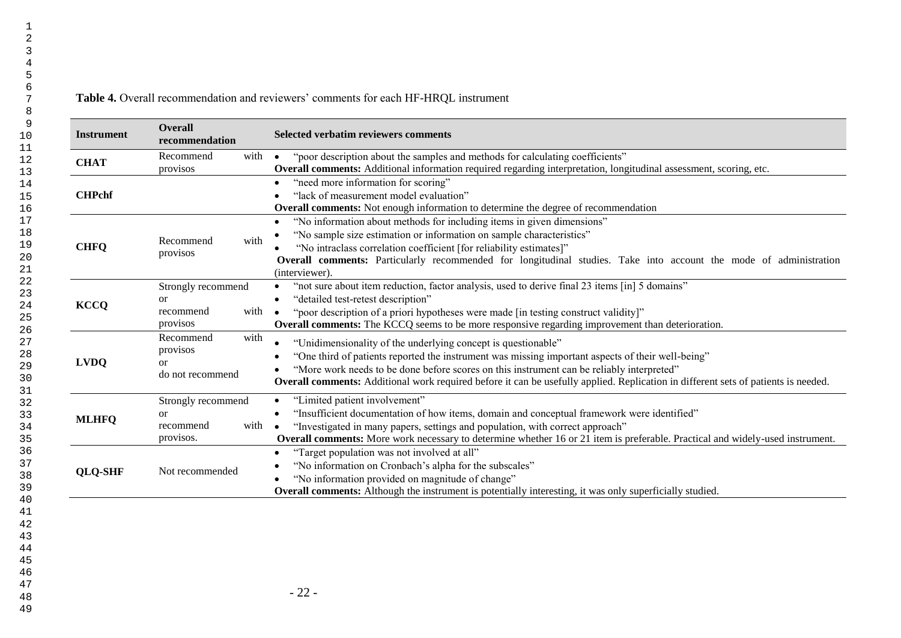## **Table 4.** Overall recommendation and reviewers' comments for each HF-HRQL instrument

| <b>Instrument</b> | <b>Overall</b><br>recommendation                                     | Selected verbatim reviewers comments                                                                                                                                                                                                                                                                                                                                                                  |
|-------------------|----------------------------------------------------------------------|-------------------------------------------------------------------------------------------------------------------------------------------------------------------------------------------------------------------------------------------------------------------------------------------------------------------------------------------------------------------------------------------------------|
| <b>CHAT</b>       | with<br>Recommend<br>provisos                                        | "poor description about the samples and methods for calculating coefficients"<br>$\bullet$<br>Overall comments: Additional information required regarding interpretation, longitudinal assessment, scoring, etc.                                                                                                                                                                                      |
| <b>CHPchf</b>     |                                                                      | "need more information for scoring"<br>"lack of measurement model evaluation"<br>Overall comments: Not enough information to determine the degree of recommendation                                                                                                                                                                                                                                   |
| <b>CHFQ</b>       | with<br>Recommend<br>provisos                                        | "No information about methods for including items in given dimensions"<br>$\bullet$<br>"No sample size estimation or information on sample characteristics"<br>"No intraclass correlation coefficient [for reliability estimates]"<br>Overall comments: Particularly recommended for longitudinal studies. Take into account the mode of administration<br>(interviewer).                             |
| <b>KCCQ</b>       | Strongly recommend<br><sub>or</sub><br>with<br>recommend<br>provisos | "not sure about item reduction, factor analysis, used to derive final 23 items [in] 5 domains"<br>$\bullet$<br>"detailed test-retest description"<br>$\bullet$<br>"poor description of a priori hypotheses were made [in testing construct validity]"<br><b>Overall comments:</b> The KCCQ seems to be more responsive regarding improvement than deterioration.                                      |
| <b>LVDQ</b>       | Recommend<br>with<br>provisos<br><b>or</b><br>do not recommend       | "Unidimensionality of the underlying concept is questionable"<br>"One third of patients reported the instrument was missing important aspects of their well-being"<br>"More work needs to be done before scores on this instrument can be reliably interpreted"<br>Overall comments: Additional work required before it can be usefully applied. Replication in different sets of patients is needed. |
| <b>MLHFQ</b>      | Strongly recommend<br>or<br>recommend<br>with<br>provisos.           | "Limited patient involvement"<br>$\bullet$<br>"Insufficient documentation of how items, domain and conceptual framework were identified"<br>$\bullet$<br>"Investigated in many papers, settings and population, with correct approach"<br>$\bullet$<br>Overall comments: More work necessary to determine whether 16 or 21 item is preferable. Practical and widely-used instrument.                  |
| <b>QLQ-SHF</b>    | Not recommended                                                      | "Target population was not involved at all"<br>"No information on Cronbach's alpha for the subscales"<br>"No information provided on magnitude of change"<br><b>Overall comments:</b> Although the instrument is potentially interesting, it was only superficially studied.                                                                                                                          |
|                   |                                                                      |                                                                                                                                                                                                                                                                                                                                                                                                       |
|                   |                                                                      | $-22-$                                                                                                                                                                                                                                                                                                                                                                                                |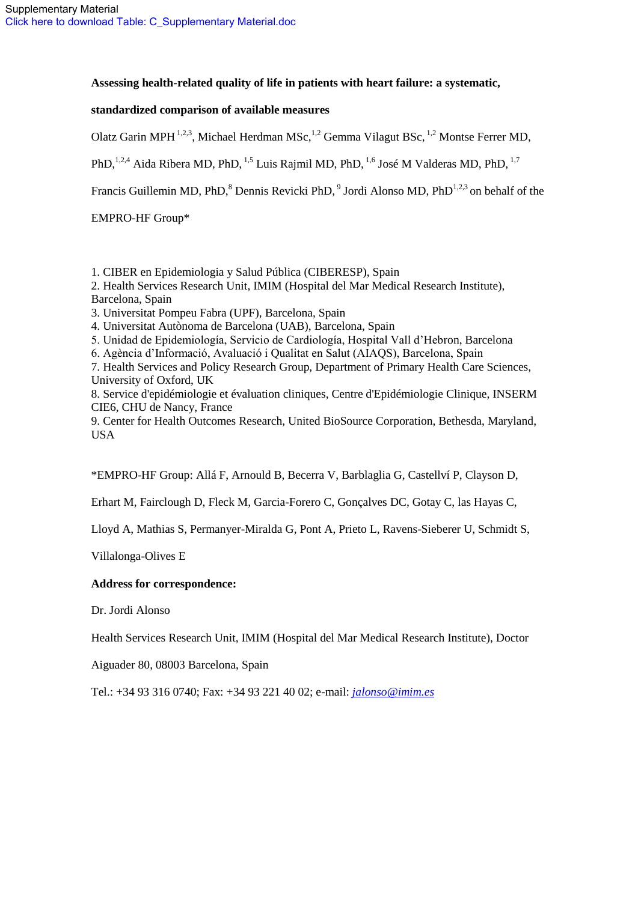## **Assessing health-related quality of life in patients with heart failure: a systematic,**

## **standardized comparison of available measures**

Olatz Garin MPH <sup>1,2,3</sup>, Michael Herdman MSc, <sup>1,2</sup> Gemma Vilagut BSc, <sup>1,2</sup> Montse Ferrer MD,

PhD,<sup>1,2,4</sup> Aida Ribera MD, PhD, <sup>1,5</sup> Luis Rajmil MD, PhD, <sup>1,6</sup> José M Valderas MD, PhD, <sup>1,7</sup>

Francis Guillemin MD, PhD, ${}^{8}$  Dennis Revicki PhD, ${}^{9}$  Jordi Alonso MD, PhD<sup>1,2,3</sup> on behalf of the

EMPRO-HF Group\*

1. CIBER en Epidemiologia y Salud Pública (CIBERESP), Spain

2. Health Services Research Unit, IMIM (Hospital del Mar Medical Research Institute),

Barcelona, Spain

3. Universitat Pompeu Fabra (UPF), Barcelona, Spain

4. Universitat Autònoma de Barcelona (UAB), Barcelona, Spain

5. Unidad de Epidemiología, Servicio de Cardiología, Hospital Vall d'Hebron, Barcelona

6. Agència d'Informació, Avaluació i Qualitat en Salut (AIAQS), Barcelona, Spain

7. Health Services and Policy Research Group, Department of Primary Health Care Sciences, University of Oxford, UK

8. Service d'epidémiologie et évaluation cliniques, Centre d'Epidémiologie Clinique, INSERM CIE6, CHU de Nancy, France

9. Center for Health Outcomes Research, United BioSource Corporation, Bethesda, Maryland, USA

\*EMPRO-HF Group: Allá F, Arnould B, Becerra V, Barblaglia G, Castellví P, Clayson D,

Erhart M, Fairclough D, Fleck M, Garcia-Forero C, Gonçalves DC, Gotay C, las Hayas C,

Lloyd A, Mathias S, Permanyer-Miralda G, Pont A, Prieto L, Ravens-Sieberer U, Schmidt S,

Villalonga-Olives E

## **Address for correspondence:**

Dr. Jordi Alonso

Health Services Research Unit, IMIM (Hospital del Mar Medical Research Institute), Doctor

Aiguader 80, 08003 Barcelona, Spain

Tel.: +34 93 316 0740; Fax: +34 93 221 40 02; e-mail: *[jalonso@imim.es](mailto:jalonso@imim.es)*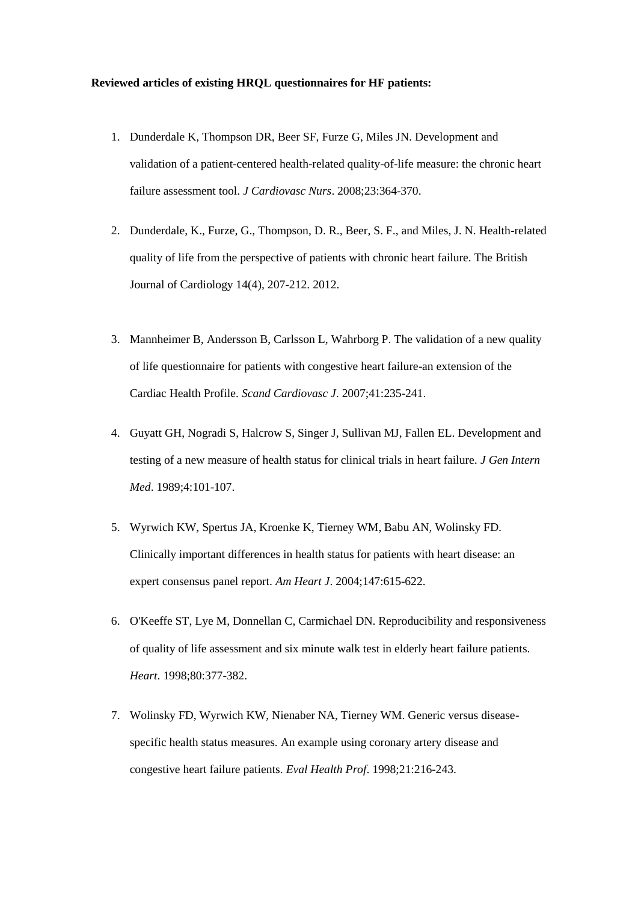### **Reviewed articles of existing HRQL questionnaires for HF patients:**

- 1. Dunderdale K, Thompson DR, Beer SF, Furze G, Miles JN. Development and validation of a patient-centered health-related quality-of-life measure: the chronic heart failure assessment tool. *J Cardiovasc Nurs*. 2008;23:364-370.
- 2. Dunderdale, K., Furze, G., Thompson, D. R., Beer, S. F., and Miles, J. N. Health-related quality of life from the perspective of patients with chronic heart failure. The British Journal of Cardiology 14(4), 207-212. 2012.
- 3. Mannheimer B, Andersson B, Carlsson L, Wahrborg P. The validation of a new quality of life questionnaire for patients with congestive heart failure-an extension of the Cardiac Health Profile. *Scand Cardiovasc J*. 2007;41:235-241.
- 4. Guyatt GH, Nogradi S, Halcrow S, Singer J, Sullivan MJ, Fallen EL. Development and testing of a new measure of health status for clinical trials in heart failure. *J Gen Intern Med*. 1989;4:101-107.
- 5. Wyrwich KW, Spertus JA, Kroenke K, Tierney WM, Babu AN, Wolinsky FD. Clinically important differences in health status for patients with heart disease: an expert consensus panel report. *Am Heart J*. 2004;147:615-622.
- 6. O'Keeffe ST, Lye M, Donnellan C, Carmichael DN. Reproducibility and responsiveness of quality of life assessment and six minute walk test in elderly heart failure patients. *Heart*. 1998;80:377-382.
- 7. Wolinsky FD, Wyrwich KW, Nienaber NA, Tierney WM. Generic versus diseasespecific health status measures. An example using coronary artery disease and congestive heart failure patients. *Eval Health Prof*. 1998;21:216-243.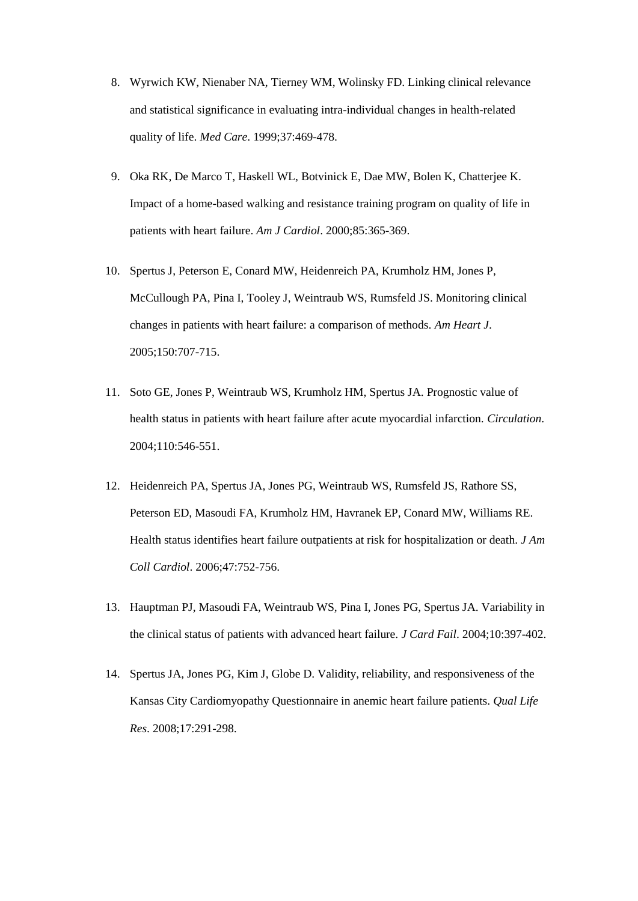- 8. Wyrwich KW, Nienaber NA, Tierney WM, Wolinsky FD. Linking clinical relevance and statistical significance in evaluating intra-individual changes in health-related quality of life. *Med Care*. 1999;37:469-478.
- 9. Oka RK, De Marco T, Haskell WL, Botvinick E, Dae MW, Bolen K, Chatterjee K. Impact of a home-based walking and resistance training program on quality of life in patients with heart failure. *Am J Cardiol*. 2000;85:365-369.
- 10. Spertus J, Peterson E, Conard MW, Heidenreich PA, Krumholz HM, Jones P, McCullough PA, Pina I, Tooley J, Weintraub WS, Rumsfeld JS. Monitoring clinical changes in patients with heart failure: a comparison of methods. *Am Heart J*. 2005;150:707-715.
- 11. Soto GE, Jones P, Weintraub WS, Krumholz HM, Spertus JA. Prognostic value of health status in patients with heart failure after acute myocardial infarction. *Circulation*. 2004;110:546-551.
- 12. Heidenreich PA, Spertus JA, Jones PG, Weintraub WS, Rumsfeld JS, Rathore SS, Peterson ED, Masoudi FA, Krumholz HM, Havranek EP, Conard MW, Williams RE. Health status identifies heart failure outpatients at risk for hospitalization or death. *J Am Coll Cardiol*. 2006;47:752-756.
- 13. Hauptman PJ, Masoudi FA, Weintraub WS, Pina I, Jones PG, Spertus JA. Variability in the clinical status of patients with advanced heart failure. *J Card Fail*. 2004;10:397-402.
- 14. Spertus JA, Jones PG, Kim J, Globe D. Validity, reliability, and responsiveness of the Kansas City Cardiomyopathy Questionnaire in anemic heart failure patients. *Qual Life Res*. 2008;17:291-298.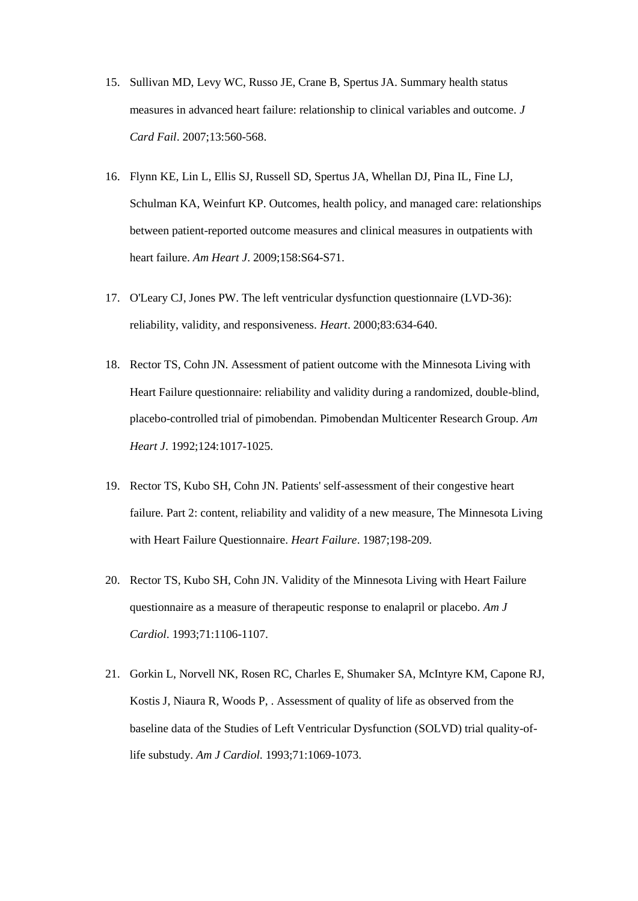- 15. Sullivan MD, Levy WC, Russo JE, Crane B, Spertus JA. Summary health status measures in advanced heart failure: relationship to clinical variables and outcome. *J Card Fail*. 2007;13:560-568.
- 16. Flynn KE, Lin L, Ellis SJ, Russell SD, Spertus JA, Whellan DJ, Pina IL, Fine LJ, Schulman KA, Weinfurt KP. Outcomes, health policy, and managed care: relationships between patient-reported outcome measures and clinical measures in outpatients with heart failure. *Am Heart J*. 2009;158:S64-S71.
- 17. O'Leary CJ, Jones PW. The left ventricular dysfunction questionnaire (LVD-36): reliability, validity, and responsiveness. *Heart*. 2000;83:634-640.
- 18. Rector TS, Cohn JN. Assessment of patient outcome with the Minnesota Living with Heart Failure questionnaire: reliability and validity during a randomized, double-blind, placebo-controlled trial of pimobendan. Pimobendan Multicenter Research Group. *Am Heart J*. 1992;124:1017-1025.
- 19. Rector TS, Kubo SH, Cohn JN. Patients' self-assessment of their congestive heart failure. Part 2: content, reliability and validity of a new measure, The Minnesota Living with Heart Failure Questionnaire. *Heart Failure*. 1987;198-209.
- 20. Rector TS, Kubo SH, Cohn JN. Validity of the Minnesota Living with Heart Failure questionnaire as a measure of therapeutic response to enalapril or placebo. *Am J Cardiol*. 1993;71:1106-1107.
- 21. Gorkin L, Norvell NK, Rosen RC, Charles E, Shumaker SA, McIntyre KM, Capone RJ, Kostis J, Niaura R, Woods P, . Assessment of quality of life as observed from the baseline data of the Studies of Left Ventricular Dysfunction (SOLVD) trial quality-oflife substudy. *Am J Cardiol*. 1993;71:1069-1073.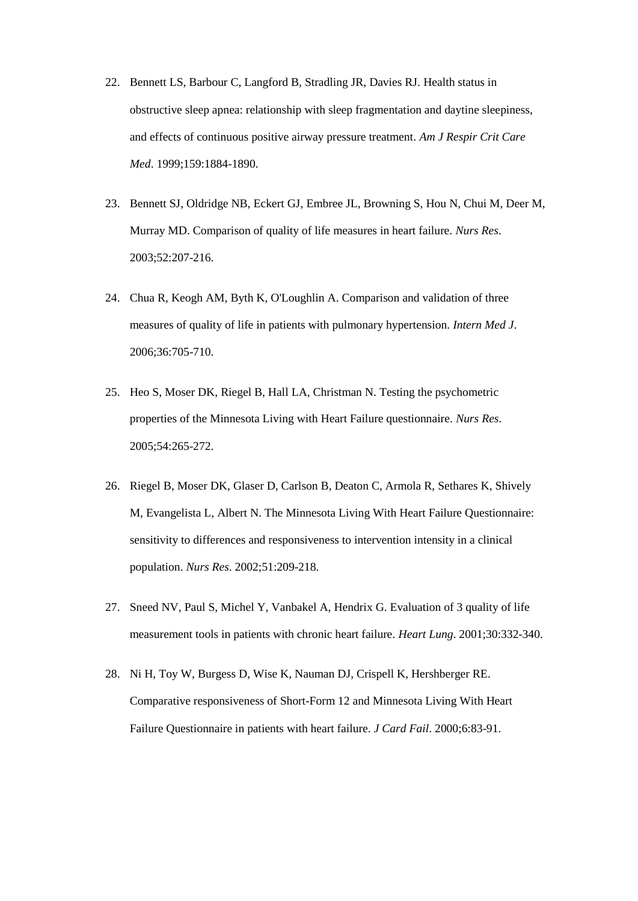- 22. Bennett LS, Barbour C, Langford B, Stradling JR, Davies RJ. Health status in obstructive sleep apnea: relationship with sleep fragmentation and daytine sleepiness, and effects of continuous positive airway pressure treatment. *Am J Respir Crit Care Med*. 1999;159:1884-1890.
- 23. Bennett SJ, Oldridge NB, Eckert GJ, Embree JL, Browning S, Hou N, Chui M, Deer M, Murray MD. Comparison of quality of life measures in heart failure. *Nurs Res*. 2003;52:207-216.
- 24. Chua R, Keogh AM, Byth K, O'Loughlin A. Comparison and validation of three measures of quality of life in patients with pulmonary hypertension. *Intern Med J*. 2006;36:705-710.
- 25. Heo S, Moser DK, Riegel B, Hall LA, Christman N. Testing the psychometric properties of the Minnesota Living with Heart Failure questionnaire. *Nurs Res*. 2005;54:265-272.
- 26. Riegel B, Moser DK, Glaser D, Carlson B, Deaton C, Armola R, Sethares K, Shively M, Evangelista L, Albert N. The Minnesota Living With Heart Failure Questionnaire: sensitivity to differences and responsiveness to intervention intensity in a clinical population. *Nurs Res*. 2002;51:209-218.
- 27. Sneed NV, Paul S, Michel Y, Vanbakel A, Hendrix G. Evaluation of 3 quality of life measurement tools in patients with chronic heart failure. *Heart Lung*. 2001;30:332-340.
- 28. Ni H, Toy W, Burgess D, Wise K, Nauman DJ, Crispell K, Hershberger RE. Comparative responsiveness of Short-Form 12 and Minnesota Living With Heart Failure Questionnaire in patients with heart failure. *J Card Fail*. 2000;6:83-91.